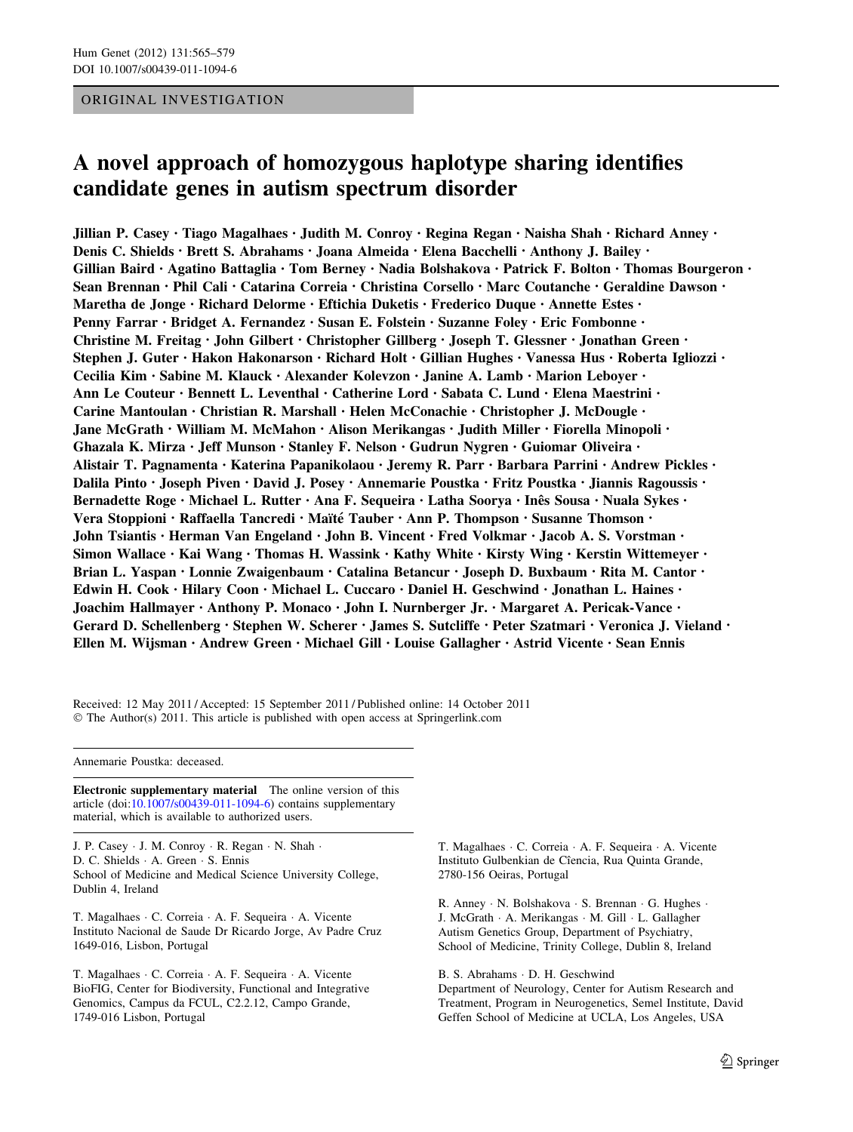# ORIGINAL INVESTIGATION

# A novel approach of homozygous haplotype sharing identifies candidate genes in autism spectrum disorder

Jillian P. Casey • Tiago Magalhaes • Judith M. Conroy • Regina Regan • Naisha Shah • Richard Anney • Denis C. Shields • Brett S. Abrahams • Joana Almeida • Elena Bacchelli • Anthony J. Bailey • Gillian Baird • Agatino Battaglia • Tom Berney • Nadia Bolshakova • Patrick F. Bolton • Thomas Bourgeron • Sean Brennan • Phil Cali • Catarina Correia • Christina Corsello • Marc Coutanche • Geraldine Dawson • Maretha de Jonge • Richard Delorme • Eftichia Duketis • Frederico Duque • Annette Estes • Penny Farrar • Bridget A. Fernandez • Susan E. Folstein • Suzanne Foley • Eric Fombonne • Christine M. Freitag • John Gilbert • Christopher Gillberg • Joseph T. Glessner • Jonathan Green • Stephen J. Guter • Hakon Hakonarson • Richard Holt • Gillian Hughes • Vanessa Hus • Roberta Igliozzi • Cecilia Kim • Sabine M. Klauck • Alexander Kolevzon • Janine A. Lamb • Marion Leboyer • Ann Le Couteur • Bennett L. Leventhal • Catherine Lord • Sabata C. Lund • Elena Maestrini • Carine Mantoulan • Christian R. Marshall • Helen McConachie • Christopher J. McDougle • Jane McGrath • William M. McMahon • Alison Merikangas • Judith Miller • Fiorella Minopoli • Ghazala K. Mirza • Jeff Munson • Stanley F. Nelson • Gudrun Nygren • Guiomar Oliveira • Alistair T. Pagnamenta • Katerina Papanikolaou • Jeremy R. Parr • Barbara Parrini • Andrew Pickles • Dalila Pinto · Joseph Piven · David J. Posey · Annemarie Poustka · Fritz Poustka · Jiannis Ragoussis · Bernadette Roge • Michael L. Rutter • Ana F. Sequeira • Latha Soorya • Inês Sousa • Nuala Sykes • Vera Stoppioni • Raffaella Tancredi • Maïté Tauber • Ann P. Thompson • Susanne Thomson • John Tsiantis • Herman Van Engeland • John B. Vincent • Fred Volkmar • Jacob A. S. Vorstman • Simon Wallace • Kai Wang • Thomas H. Wassink • Kathy White • Kirsty Wing • Kerstin Wittemeyer • Brian L. Yaspan • Lonnie Zwaigenbaum • Catalina Betancur • Joseph D. Buxbaum • Rita M. Cantor • Edwin H. Cook • Hilary Coon • Michael L. Cuccaro • Daniel H. Geschwind • Jonathan L. Haines • Joachim Hallmayer • Anthony P. Monaco • John I. Nurnberger Jr. • Margaret A. Pericak-Vance • Gerard D. Schellenberg • Stephen W. Scherer • James S. Sutcliffe • Peter Szatmari • Veronica J. Vieland • Ellen M. Wijsman • Andrew Green • Michael Gill • Louise Gallagher • Astrid Vicente • Sean Ennis

Received: 12 May 2011 / Accepted: 15 September 2011 / Published online: 14 October 2011 © The Author(s) 2011. This article is published with open access at Springerlink.com

Annemarie Poustka: deceased.

Electronic supplementary material The online version of this article (doi:[10.1007/s00439-011-1094-6\)](http://dx.doi.org/10.1007/s00439-011-1094-6) contains supplementary material, which is available to authorized users.

J. P. Casey · J. M. Conroy · R. Regan · N. Shah · D. C. Shields · A. Green · S. Ennis School of Medicine and Medical Science University College, Dublin 4, Ireland

T. Magalhaes - C. Correia - A. F. Sequeira - A. Vicente Instituto Nacional de Saude Dr Ricardo Jorge, Av Padre Cruz 1649-016, Lisbon, Portugal

T. Magalhaes - C. Correia - A. F. Sequeira - A. Vicente BioFIG, Center for Biodiversity, Functional and Integrative Genomics, Campus da FCUL, C2.2.12, Campo Grande, 1749-016 Lisbon, Portugal

T. Magalhaes - C. Correia - A. F. Sequeira - A. Vicente Instituto Gulbenkian de Cîencia, Rua Quinta Grande, 2780-156 Oeiras, Portugal

R. Anney · N. Bolshakova · S. Brennan · G. Hughes · J. McGrath - A. Merikangas - M. Gill - L. Gallagher Autism Genetics Group, Department of Psychiatry, School of Medicine, Trinity College, Dublin 8, Ireland

B. S. Abrahams - D. H. Geschwind Department of Neurology, Center for Autism Research and Treatment, Program in Neurogenetics, Semel Institute, David Geffen School of Medicine at UCLA, Los Angeles, USA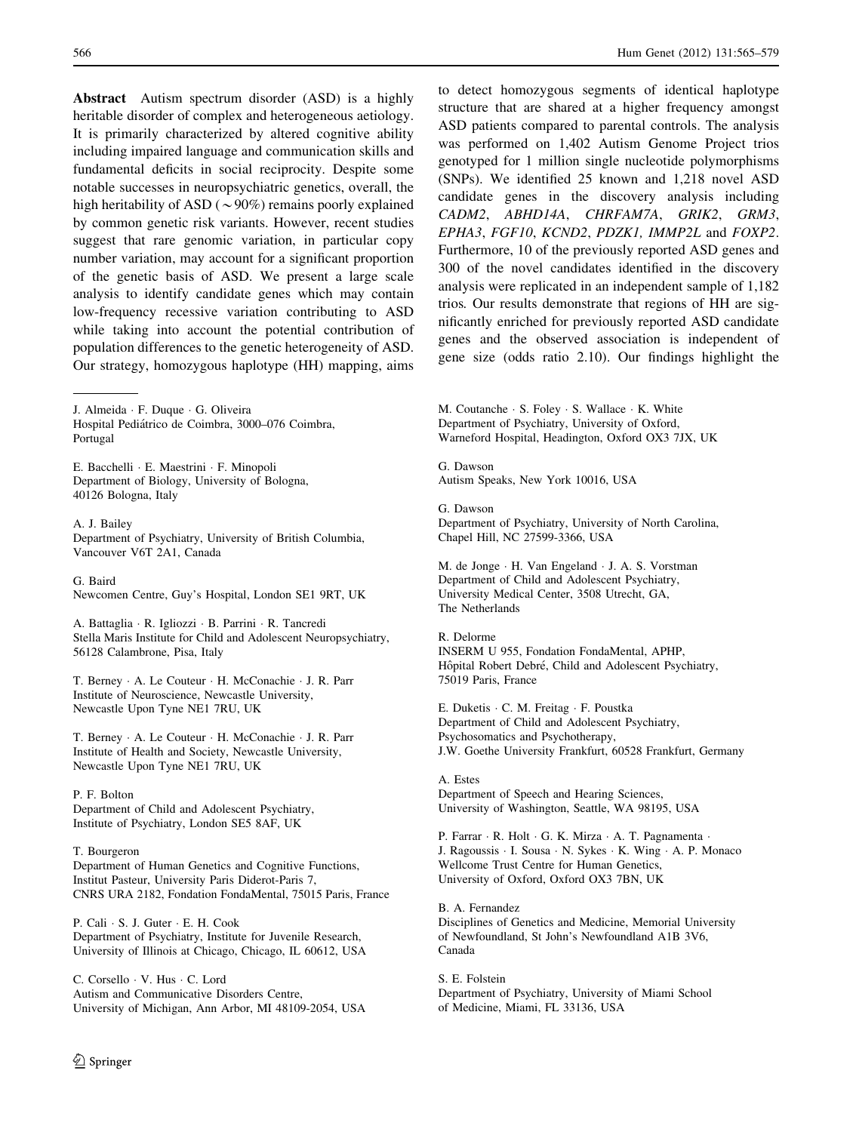Abstract Autism spectrum disorder (ASD) is a highly heritable disorder of complex and heterogeneous aetiology. It is primarily characterized by altered cognitive ability including impaired language and communication skills and fundamental deficits in social reciprocity. Despite some notable successes in neuropsychiatric genetics, overall, the high heritability of ASD ( $\sim$ 90%) remains poorly explained by common genetic risk variants. However, recent studies suggest that rare genomic variation, in particular copy number variation, may account for a significant proportion of the genetic basis of ASD. We present a large scale analysis to identify candidate genes which may contain low-frequency recessive variation contributing to ASD while taking into account the potential contribution of population differences to the genetic heterogeneity of ASD. Our strategy, homozygous haplotype (HH) mapping, aims

J. Almeida - F. Duque - G. Oliveira Hospital Pediátrico de Coimbra, 3000-076 Coimbra, Portugal

E. Bacchelli - E. Maestrini - F. Minopoli Department of Biology, University of Bologna, 40126 Bologna, Italy

A. J. Bailey Department of Psychiatry, University of British Columbia, Vancouver V6T 2A1, Canada

G. Baird Newcomen Centre, Guy's Hospital, London SE1 9RT, UK

A. Battaglia - R. Igliozzi - B. Parrini - R. Tancredi Stella Maris Institute for Child and Adolescent Neuropsychiatry, 56128 Calambrone, Pisa, Italy

T. Berney - A. Le Couteur - H. McConachie - J. R. Parr Institute of Neuroscience, Newcastle University, Newcastle Upon Tyne NE1 7RU, UK

T. Berney - A. Le Couteur - H. McConachie - J. R. Parr Institute of Health and Society, Newcastle University, Newcastle Upon Tyne NE1 7RU, UK

P. F. Bolton Department of Child and Adolescent Psychiatry, Institute of Psychiatry, London SE5 8AF, UK

#### T. Bourgeron

Department of Human Genetics and Cognitive Functions, Institut Pasteur, University Paris Diderot-Paris 7, CNRS URA 2182, Fondation FondaMental, 75015 Paris, France

P. Cali - S. J. Guter - E. H. Cook Department of Psychiatry, Institute for Juvenile Research, University of Illinois at Chicago, Chicago, IL 60612, USA

C. Corsello - V. Hus - C. Lord Autism and Communicative Disorders Centre, University of Michigan, Ann Arbor, MI 48109-2054, USA

to detect homozygous segments of identical haplotype structure that are shared at a higher frequency amongst ASD patients compared to parental controls. The analysis was performed on 1,402 Autism Genome Project trios genotyped for 1 million single nucleotide polymorphisms (SNPs). We identified 25 known and 1,218 novel ASD candidate genes in the discovery analysis including CADM2, ABHD14A, CHRFAM7A, GRIK2, GRM3, EPHA3, FGF10, KCND2, PDZK1, IMMP2L and FOXP2. Furthermore, 10 of the previously reported ASD genes and 300 of the novel candidates identified in the discovery analysis were replicated in an independent sample of 1,182 trios. Our results demonstrate that regions of HH are significantly enriched for previously reported ASD candidate genes and the observed association is independent of gene size (odds ratio 2.10). Our findings highlight the

M. Coutanche · S. Foley · S. Wallace · K. White Department of Psychiatry, University of Oxford, Warneford Hospital, Headington, Oxford OX3 7JX, UK

G. Dawson Autism Speaks, New York 10016, USA

G. Dawson Department of Psychiatry, University of North Carolina, Chapel Hill, NC 27599-3366, USA

M. de Jonge - H. Van Engeland - J. A. S. Vorstman Department of Child and Adolescent Psychiatry, University Medical Center, 3508 Utrecht, GA, The Netherlands

# R. Delorme

INSERM U 955, Fondation FondaMental, APHP, Hôpital Robert Debré, Child and Adolescent Psychiatry, 75019 Paris, France

E. Duketis - C. M. Freitag - F. Poustka Department of Child and Adolescent Psychiatry, Psychosomatics and Psychotherapy, J.W. Goethe University Frankfurt, 60528 Frankfurt, Germany

# A. Estes

Department of Speech and Hearing Sciences, University of Washington, Seattle, WA 98195, USA

P. Farrar · R. Holt · G. K. Mirza · A. T. Pagnamenta · J. Ragoussis - I. Sousa - N. Sykes - K. Wing - A. P. Monaco Wellcome Trust Centre for Human Genetics, University of Oxford, Oxford OX3 7BN, UK

#### B. A. Fernandez

Disciplines of Genetics and Medicine, Memorial University of Newfoundland, St John's Newfoundland A1B 3V6, Canada

S. E. Folstein Department of Psychiatry, University of Miami School of Medicine, Miami, FL 33136, USA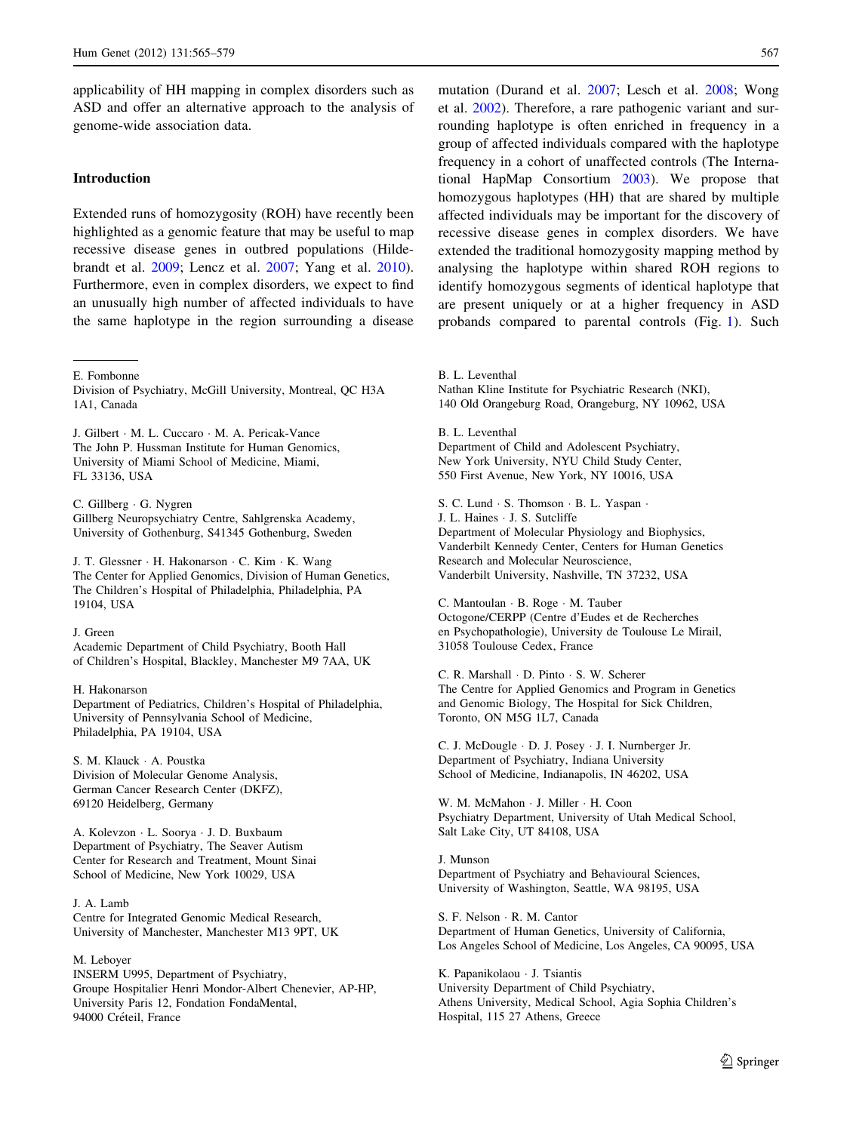applicability of HH mapping in complex disorders such as ASD and offer an alternative approach to the analysis of genome-wide association data.

# Introduction

Extended runs of homozygosity (ROH) have recently been highlighted as a genomic feature that may be useful to map recessive disease genes in outbred populations (Hildebrandt et al. [2009;](#page-13-0) Lencz et al. [2007;](#page-14-0) Yang et al. [2010](#page-14-0)). Furthermore, even in complex disorders, we expect to find an unusually high number of affected individuals to have the same haplotype in the region surrounding a disease

E. Fombonne

Division of Psychiatry, McGill University, Montreal, QC H3A 1A1, Canada

J. Gilbert - M. L. Cuccaro - M. A. Pericak-Vance The John P. Hussman Institute for Human Genomics, University of Miami School of Medicine, Miami, FL 33136, USA

C. Gillberg - G. Nygren Gillberg Neuropsychiatry Centre, Sahlgrenska Academy, University of Gothenburg, S41345 Gothenburg, Sweden

J. T. Glessner · H. Hakonarson · C. Kim · K. Wang The Center for Applied Genomics, Division of Human Genetics, The Children's Hospital of Philadelphia, Philadelphia, PA 19104, USA

#### J. Green

Academic Department of Child Psychiatry, Booth Hall of Children's Hospital, Blackley, Manchester M9 7AA, UK

#### H. Hakonarson

Department of Pediatrics, Children's Hospital of Philadelphia, University of Pennsylvania School of Medicine, Philadelphia, PA 19104, USA

S. M. Klauck - A. Poustka Division of Molecular Genome Analysis, German Cancer Research Center (DKFZ), 69120 Heidelberg, Germany

A. Kolevzon - L. Soorya - J. D. Buxbaum Department of Psychiatry, The Seaver Autism Center for Research and Treatment, Mount Sinai School of Medicine, New York 10029, USA

#### J. A. Lamb

Centre for Integrated Genomic Medical Research, University of Manchester, Manchester M13 9PT, UK

#### M. Leboyer

INSERM U995, Department of Psychiatry, Groupe Hospitalier Henri Mondor-Albert Chenevier, AP-HP, University Paris 12, Fondation FondaMental, 94000 Créteil, France

mutation (Durand et al. [2007](#page-13-0); Lesch et al. [2008](#page-14-0); Wong et al. [2002](#page-14-0)). Therefore, a rare pathogenic variant and surrounding haplotype is often enriched in frequency in a group of affected individuals compared with the haplotype frequency in a cohort of unaffected controls (The International HapMap Consortium [2003](#page-14-0)). We propose that homozygous haplotypes (HH) that are shared by multiple affected individuals may be important for the discovery of recessive disease genes in complex disorders. We have extended the traditional homozygosity mapping method by analysing the haplotype within shared ROH regions to identify homozygous segments of identical haplotype that are present uniquely or at a higher frequency in ASD probands compared to parental controls (Fig. [1](#page-4-0)). Such

B. L. Leventhal Nathan Kline Institute for Psychiatric Research (NKI), 140 Old Orangeburg Road, Orangeburg, NY 10962, USA

B. L. Leventhal Department of Child and Adolescent Psychiatry, New York University, NYU Child Study Center, 550 First Avenue, New York, NY 10016, USA

S. C. Lund · S. Thomson · B. L. Yaspan · J. L. Haines - J. S. Sutcliffe Department of Molecular Physiology and Biophysics, Vanderbilt Kennedy Center, Centers for Human Genetics Research and Molecular Neuroscience, Vanderbilt University, Nashville, TN 37232, USA

C. Mantoulan - B. Roge - M. Tauber Octogone/CERPP (Centre d'Eudes et de Recherches en Psychopathologie), University de Toulouse Le Mirail, 31058 Toulouse Cedex, France

C. R. Marshall - D. Pinto - S. W. Scherer The Centre for Applied Genomics and Program in Genetics and Genomic Biology, The Hospital for Sick Children, Toronto, ON M5G 1L7, Canada

C. J. McDougle - D. J. Posey - J. I. Nurnberger Jr. Department of Psychiatry, Indiana University School of Medicine, Indianapolis, IN 46202, USA

W. M. McMahon - J. Miller - H. Coon Psychiatry Department, University of Utah Medical School, Salt Lake City, UT 84108, USA

J. Munson Department of Psychiatry and Behavioural Sciences, University of Washington, Seattle, WA 98195, USA

S. F. Nelson - R. M. Cantor Department of Human Genetics, University of California, Los Angeles School of Medicine, Los Angeles, CA 90095, USA

K. Papanikolaou - J. Tsiantis University Department of Child Psychiatry, Athens University, Medical School, Agia Sophia Children's Hospital, 115 27 Athens, Greece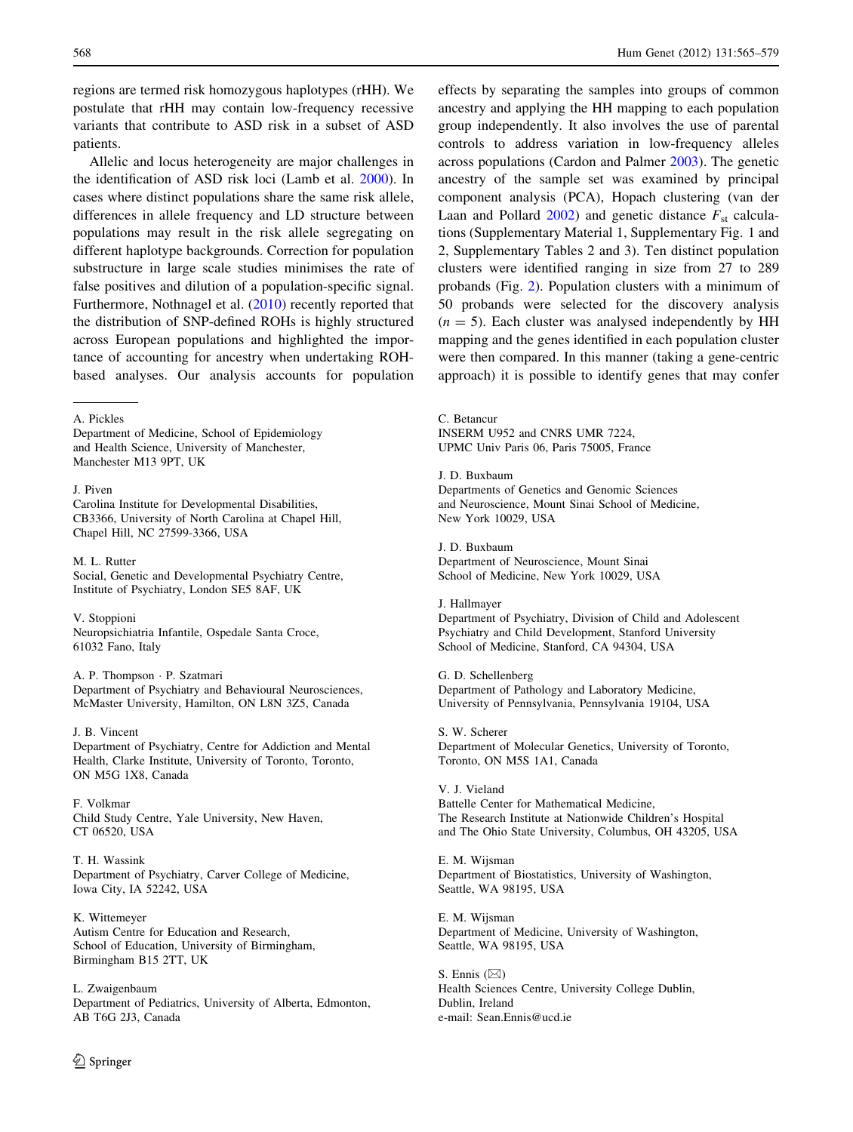regions are termed risk homozygous haplotypes (rHH). We postulate that rHH may contain low-frequency recessive variants that contribute to ASD risk in a subset of ASD patients.

Allelic and locus heterogeneity are major challenges in the identification of ASD risk loci (Lamb et al. [2000](#page-13-0)). In cases where distinct populations share the same risk allele, differences in allele frequency and LD structure between populations may result in the risk allele segregating on different haplotype backgrounds. Correction for population substructure in large scale studies minimises the rate of false positives and dilution of a population-specific signal. Furthermore, Nothnagel et al. ([2010\)](#page-14-0) recently reported that the distribution of SNP-defined ROHs is highly structured across European populations and highlighted the importance of accounting for ancestry when undertaking ROHbased analyses. Our analysis accounts for population

A. Pickles

Department of Medicine, School of Epidemiology and Health Science, University of Manchester, Manchester M13 9PT, UK

J. Piven Carolina Institute for Developmental Disabilities, CB3366, University of North Carolina at Chapel Hill, Chapel Hill, NC 27599-3366, USA

M. L. Rutter Social, Genetic and Developmental Psychiatry Centre, Institute of Psychiatry, London SE5 8AF, UK

V. Stoppioni Neuropsichiatria Infantile, Ospedale Santa Croce, 61032 Fano, Italy

#### A. P. Thompson - P. Szatmari

Department of Psychiatry and Behavioural Neurosciences, McMaster University, Hamilton, ON L8N 3Z5, Canada

#### J. B. Vincent

Department of Psychiatry, Centre for Addiction and Mental Health, Clarke Institute, University of Toronto, Toronto, ON M5G 1X8, Canada

F. Volkmar Child Study Centre, Yale University, New Haven, CT 06520, USA

T. H. Wassink Department of Psychiatry, Carver College of Medicine, Iowa City, IA 52242, USA

K. Wittemeyer Autism Centre for Education and Research, School of Education, University of Birmingham, Birmingham B15 2TT, UK

L. Zwaigenbaum Department of Pediatrics, University of Alberta, Edmonton, AB T6G 2J3, Canada

 $\mathcal{D}$  Springer

effects by separating the samples into groups of common ancestry and applying the HH mapping to each population group independently. It also involves the use of parental controls to address variation in low-frequency alleles across populations (Cardon and Palmer [2003\)](#page-13-0). The genetic ancestry of the sample set was examined by principal component analysis (PCA), Hopach clustering (van der Laan and Pollard  $2002$ ) and genetic distance  $F_{st}$  calculations (Supplementary Material 1, Supplementary Fig. 1 and 2, Supplementary Tables 2 and 3). Ten distinct population clusters were identified ranging in size from 27 to 289 probands (Fig. [2\)](#page-5-0). Population clusters with a minimum of 50 probands were selected for the discovery analysis  $(n = 5)$ . Each cluster was analysed independently by HH mapping and the genes identified in each population cluster were then compared. In this manner (taking a gene-centric approach) it is possible to identify genes that may confer

C. Betancur INSERM U952 and CNRS UMR 7224, UPMC Univ Paris 06, Paris 75005, France

J. D. Buxbaum Departments of Genetics and Genomic Sciences and Neuroscience, Mount Sinai School of Medicine, New York 10029, USA

J. D. Buxbaum Department of Neuroscience, Mount Sinai School of Medicine, New York 10029, USA

J. Hallmayer Department of Psychiatry, Division of Child and Adolescent Psychiatry and Child Development, Stanford University School of Medicine, Stanford, CA 94304, USA

G. D. Schellenberg Department of Pathology and Laboratory Medicine, University of Pennsylvania, Pennsylvania 19104, USA

S. W. Scherer Department of Molecular Genetics, University of Toronto, Toronto, ON M5S 1A1, Canada

V. J. Vieland Battelle Center for Mathematical Medicine, The Research Institute at Nationwide Children's Hospital and The Ohio State University, Columbus, OH 43205, USA

E. M. Wijsman Department of Biostatistics, University of Washington, Seattle, WA 98195, USA

E. M. Wijsman Department of Medicine, University of Washington, Seattle, WA 98195, USA

S. Ennis  $(\boxtimes)$ Health Sciences Centre, University College Dublin, Dublin, Ireland e-mail: Sean.Ennis@ucd.ie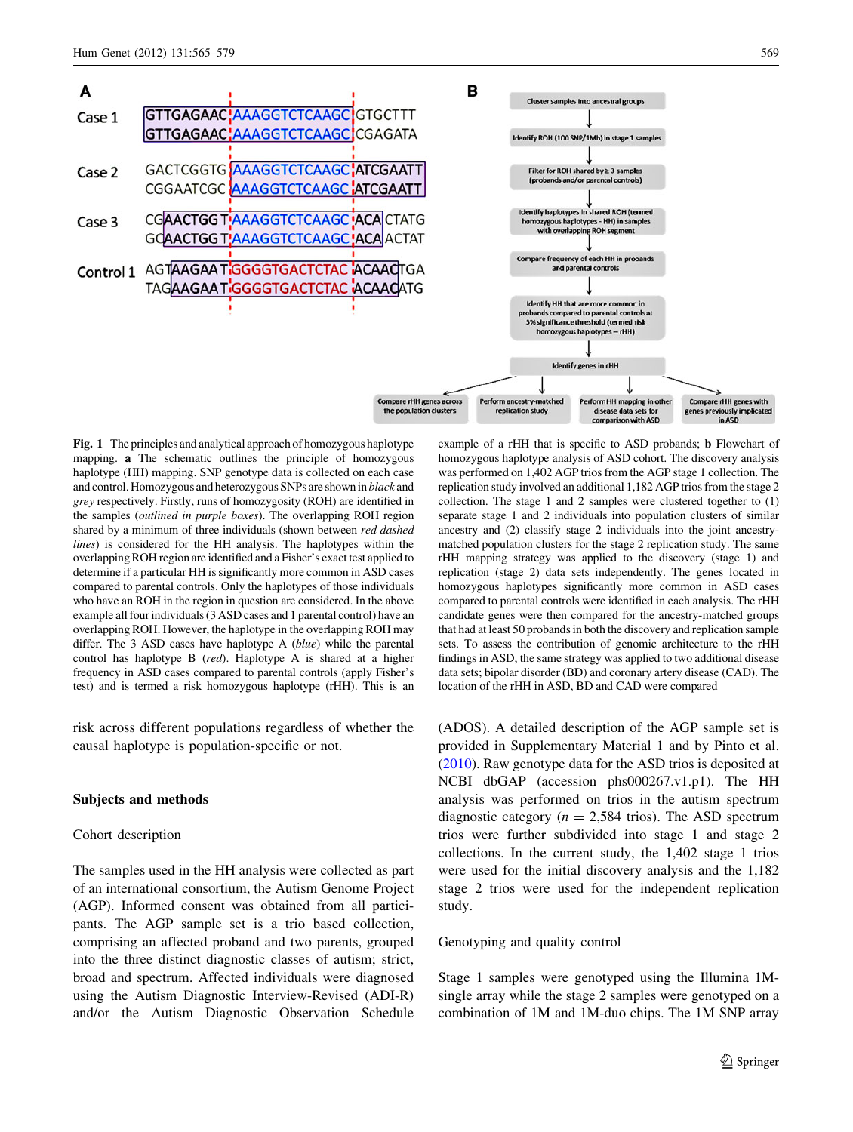<span id="page-4-0"></span>

Fig. 1 The principles and analytical approach of homozygous haplotype mapping. a The schematic outlines the principle of homozygous haplotype (HH) mapping. SNP genotype data is collected on each case and control. Homozygous and heterozygous SNPs are shown in black and grey respectively. Firstly, runs of homozygosity (ROH) are identified in the samples (outlined in purple boxes). The overlapping ROH region shared by a minimum of three individuals (shown between red dashed lines) is considered for the HH analysis. The haplotypes within the overlapping ROH region are identified and a Fisher's exact test applied to determine if a particular HH is significantly more common in ASD cases compared to parental controls. Only the haplotypes of those individuals who have an ROH in the region in question are considered. In the above example all four individuals (3 ASD cases and 1 parental control) have an overlapping ROH. However, the haplotype in the overlapping ROH may differ. The 3 ASD cases have haplotype A (blue) while the parental control has haplotype B (red). Haplotype A is shared at a higher frequency in ASD cases compared to parental controls (apply Fisher's test) and is termed a risk homozygous haplotype (rHH). This is an

risk across different populations regardless of whether the causal haplotype is population-specific or not.

#### Subjects and methods

#### Cohort description

The samples used in the HH analysis were collected as part of an international consortium, the Autism Genome Project (AGP). Informed consent was obtained from all participants. The AGP sample set is a trio based collection, comprising an affected proband and two parents, grouped into the three distinct diagnostic classes of autism; strict, broad and spectrum. Affected individuals were diagnosed using the Autism Diagnostic Interview-Revised (ADI-R) and/or the Autism Diagnostic Observation Schedule example of a rHH that is specific to ASD probands; b Flowchart of homozygous haplotype analysis of ASD cohort. The discovery analysis was performed on 1,402 AGP trios from the AGP stage 1 collection. The replication study involved an additional 1,182 AGP trios from the stage 2 collection. The stage 1 and 2 samples were clustered together to (1) separate stage 1 and 2 individuals into population clusters of similar ancestry and (2) classify stage 2 individuals into the joint ancestrymatched population clusters for the stage 2 replication study. The same rHH mapping strategy was applied to the discovery (stage 1) and replication (stage 2) data sets independently. The genes located in homozygous haplotypes significantly more common in ASD cases compared to parental controls were identified in each analysis. The rHH candidate genes were then compared for the ancestry-matched groups that had at least 50 probands in both the discovery and replication sample sets. To assess the contribution of genomic architecture to the rHH findings in ASD, the same strategy was applied to two additional disease data sets; bipolar disorder (BD) and coronary artery disease (CAD). The location of the rHH in ASD, BD and CAD were compared

(ADOS). A detailed description of the AGP sample set is provided in Supplementary Material 1 and by Pinto et al. [\(2010](#page-14-0)). Raw genotype data for the ASD trios is deposited at NCBI dbGAP (accession phs000267.v1.p1). The HH analysis was performed on trios in the autism spectrum diagnostic category ( $n = 2,584$  trios). The ASD spectrum trios were further subdivided into stage 1 and stage 2 collections. In the current study, the 1,402 stage 1 trios were used for the initial discovery analysis and the 1,182 stage 2 trios were used for the independent replication study.

#### Genotyping and quality control

Stage 1 samples were genotyped using the Illumina 1Msingle array while the stage 2 samples were genotyped on a combination of 1M and 1M-duo chips. The 1M SNP array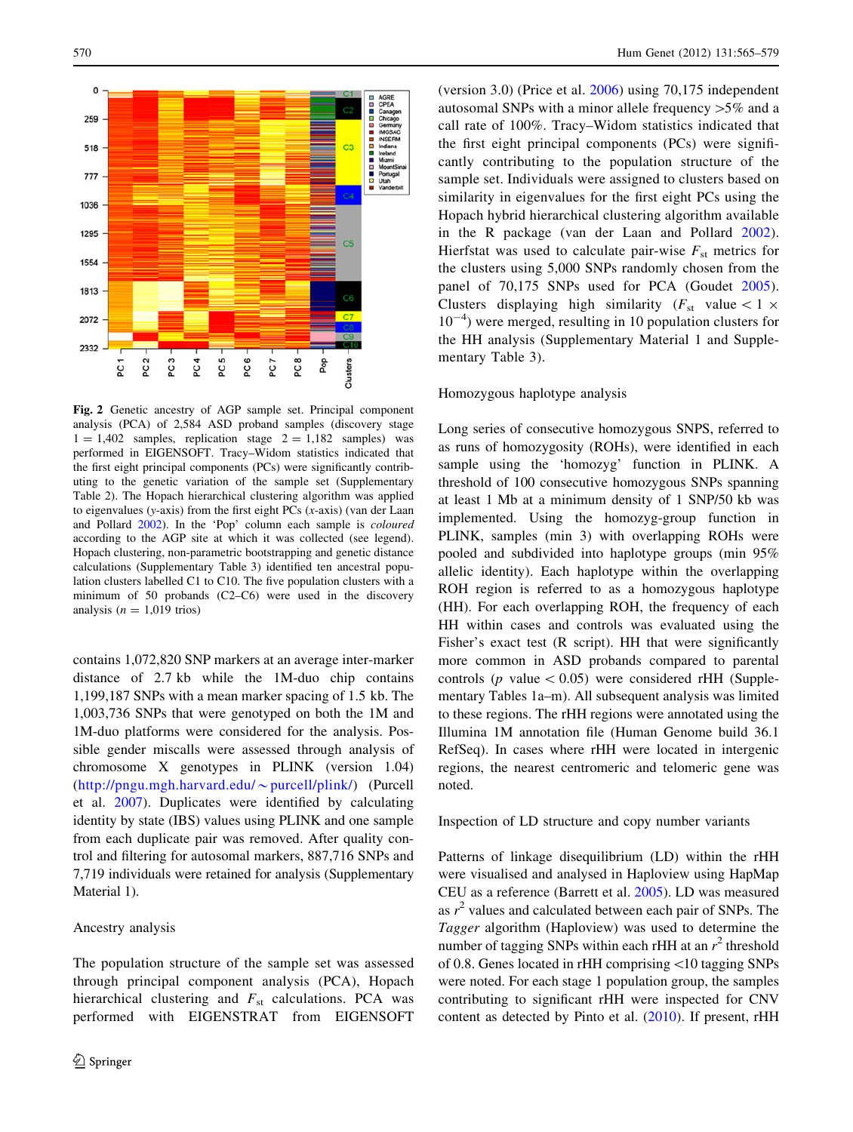<span id="page-5-0"></span>

Fig. 2 Genetic ancestry of AGP sample set. Principal component analysis (PCA) of 2,584 ASD proband samples (discovery stage  $1 = 1,402$  samples, replication stage  $2 = 1,182$  samples) was performed in EIGENSOFT. Tracy–Widom statistics indicated that the first eight principal components (PCs) were significantly contributing to the genetic variation of the sample set (Supplementary Table 2). The Hopach hierarchical clustering algorithm was applied to eigenvalues (y-axis) from the first eight PCs  $(x\text{-axis})$  (van der Laan and Pollard [2002](#page-14-0)). In the 'Pop' column each sample is coloured according to the AGP site at which it was collected (see legend). Hopach clustering, non-parametric bootstrapping and genetic distance calculations (Supplementary Table 3) identified ten ancestral population clusters labelled C1 to C10. The five population clusters with a minimum of 50 probands (C2–C6) were used in the discovery analysis ( $n = 1,019$  trios)

contains 1,072,820 SNP markers at an average inter-marker distance of 2.7 kb while the 1M-duo chip contains 1,199,187 SNPs with a mean marker spacing of 1.5 kb. The 1,003,736 SNPs that were genotyped on both the 1M and 1M-duo platforms were considered for the analysis. Possible gender miscalls were assessed through analysis of chromosome X genotypes in PLINK (version 1.04)  $(http://pngu.mgh.harvard.edu/~pureell/plink/)$  $(http://pngu.mgh.harvard.edu/~pureell/plink/)$  $(http://pngu.mgh.harvard.edu/~pureell/plink/)$  (Purcell et al. [2007\)](#page-14-0). Duplicates were identified by calculating identity by state (IBS) values using PLINK and one sample from each duplicate pair was removed. After quality control and filtering for autosomal markers, 887,716 SNPs and 7,719 individuals were retained for analysis (Supplementary Material 1).

# Ancestry analysis

The population structure of the sample set was assessed through principal component analysis (PCA), Hopach hierarchical clustering and  $F_{st}$  calculations. PCA was performed with EIGENSTRAT from EIGENSOFT (version 3.0) (Price et al. [2006](#page-14-0)) using 70,175 independent autosomal SNPs with a minor allele frequency  $>5\%$  and a call rate of 100%. Tracy–Widom statistics indicated that the first eight principal components (PCs) were significantly contributing to the population structure of the sample set. Individuals were assigned to clusters based on similarity in eigenvalues for the first eight PCs using the Hopach hybrid hierarchical clustering algorithm available in the R package (van der Laan and Pollard [2002](#page-14-0)). Hierfstat was used to calculate pair-wise  $F_{st}$  metrics for the clusters using 5,000 SNPs randomly chosen from the panel of 70,175 SNPs used for PCA (Goudet [2005](#page-13-0)). Clusters displaying high similarity  $(F_{st}$  value  $\lt 1 \times$ 10-<sup>4</sup> ) were merged, resulting in 10 population clusters for the HH analysis (Supplementary Material 1 and Supplementary Table 3).

#### Homozygous haplotype analysis

Long series of consecutive homozygous SNPS, referred to as runs of homozygosity (ROHs), were identified in each sample using the 'homozyg' function in PLINK. A threshold of 100 consecutive homozygous SNPs spanning at least 1 Mb at a minimum density of 1 SNP/50 kb was implemented. Using the homozyg-group function in PLINK, samples (min 3) with overlapping ROHs were pooled and subdivided into haplotype groups (min 95% allelic identity). Each haplotype within the overlapping ROH region is referred to as a homozygous haplotype (HH). For each overlapping ROH, the frequency of each HH within cases and controls was evaluated using the Fisher's exact test (R script). HH that were significantly more common in ASD probands compared to parental controls ( $p$  value  $\lt$  0.05) were considered rHH (Supplementary Tables 1a–m). All subsequent analysis was limited to these regions. The rHH regions were annotated using the Illumina 1M annotation file (Human Genome build 36.1 RefSeq). In cases where rHH were located in intergenic regions, the nearest centromeric and telomeric gene was noted.

Inspection of LD structure and copy number variants

Patterns of linkage disequilibrium (LD) within the rHH were visualised and analysed in Haploview using HapMap CEU as a reference (Barrett et al. [2005](#page-13-0)). LD was measured as  $r<sup>2</sup>$  values and calculated between each pair of SNPs. The Tagger algorithm (Haploview) was used to determine the number of tagging SNPs within each rHH at an  $r^2$  threshold of 0.8. Genes located in rHH comprising\10 tagging SNPs were noted. For each stage 1 population group, the samples contributing to significant rHH were inspected for CNV content as detected by Pinto et al. ([2010\)](#page-14-0). If present, rHH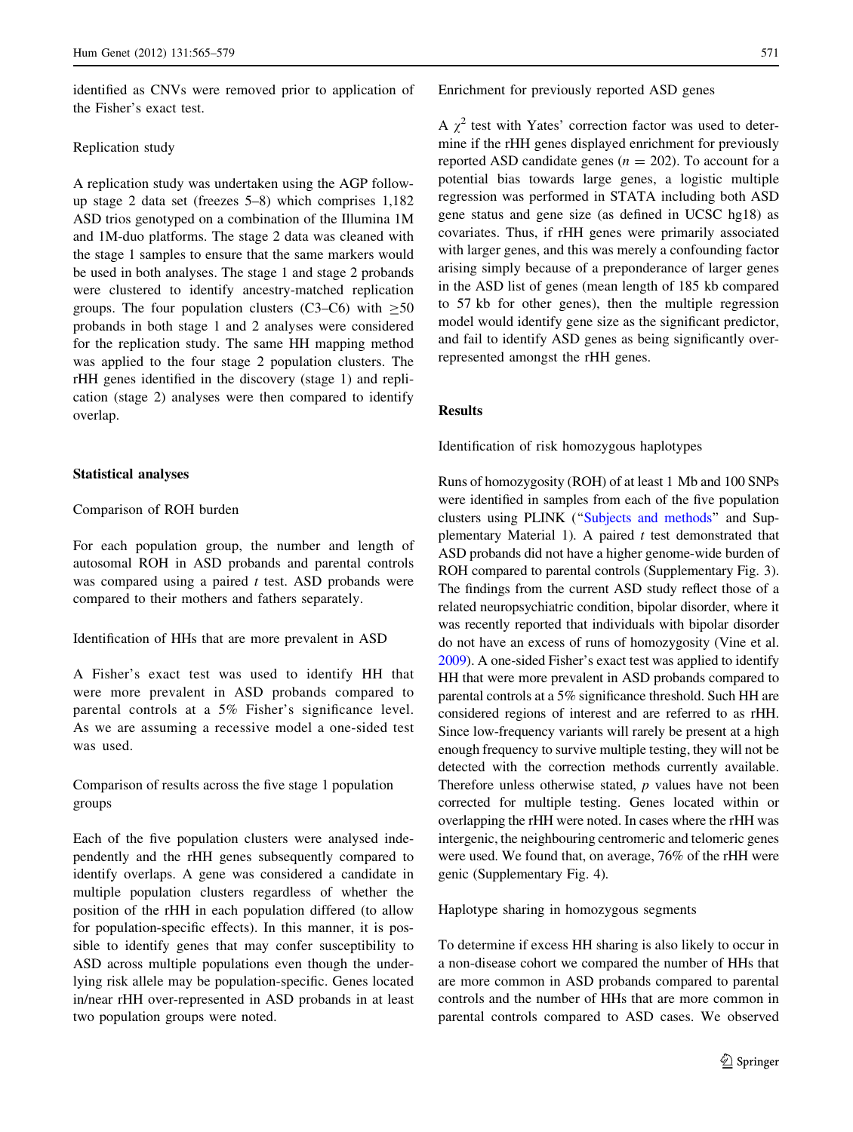identified as CNVs were removed prior to application of the Fisher's exact test.

# Replication study

A replication study was undertaken using the AGP followup stage 2 data set (freezes 5–8) which comprises 1,182 ASD trios genotyped on a combination of the Illumina 1M and 1M-duo platforms. The stage 2 data was cleaned with the stage 1 samples to ensure that the same markers would be used in both analyses. The stage 1 and stage 2 probands were clustered to identify ancestry-matched replication groups. The four population clusters  $(C3-C6)$  with  $>50$ probands in both stage 1 and 2 analyses were considered for the replication study. The same HH mapping method was applied to the four stage 2 population clusters. The rHH genes identified in the discovery (stage 1) and replication (stage 2) analyses were then compared to identify overlap.

#### Statistical analyses

#### Comparison of ROH burden

For each population group, the number and length of autosomal ROH in ASD probands and parental controls was compared using a paired  $t$  test. ASD probands were compared to their mothers and fathers separately.

# Identification of HHs that are more prevalent in ASD

A Fisher's exact test was used to identify HH that were more prevalent in ASD probands compared to parental controls at a 5% Fisher's significance level. As we are assuming a recessive model a one-sided test was used.

Comparison of results across the five stage 1 population groups

Each of the five population clusters were analysed independently and the rHH genes subsequently compared to identify overlaps. A gene was considered a candidate in multiple population clusters regardless of whether the position of the rHH in each population differed (to allow for population-specific effects). In this manner, it is possible to identify genes that may confer susceptibility to ASD across multiple populations even though the underlying risk allele may be population-specific. Genes located in/near rHH over-represented in ASD probands in at least two population groups were noted.

Enrichment for previously reported ASD genes

A  $\chi^2$  test with Yates' correction factor was used to determine if the rHH genes displayed enrichment for previously reported ASD candidate genes ( $n = 202$ ). To account for a potential bias towards large genes, a logistic multiple regression was performed in STATA including both ASD gene status and gene size (as defined in UCSC hg18) as covariates. Thus, if rHH genes were primarily associated with larger genes, and this was merely a confounding factor arising simply because of a preponderance of larger genes in the ASD list of genes (mean length of 185 kb compared to 57 kb for other genes), then the multiple regression model would identify gene size as the significant predictor, and fail to identify ASD genes as being significantly overrepresented amongst the rHH genes.

#### Results

Identification of risk homozygous haplotypes

Runs of homozygosity (ROH) of at least 1 Mb and 100 SNPs were identified in samples from each of the five population clusters using PLINK (''[Subjects and methods](#page-4-0)'' and Supplementary Material 1). A paired  $t$  test demonstrated that ASD probands did not have a higher genome-wide burden of ROH compared to parental controls (Supplementary Fig. 3). The findings from the current ASD study reflect those of a related neuropsychiatric condition, bipolar disorder, where it was recently reported that individuals with bipolar disorder do not have an excess of runs of homozygosity (Vine et al. [2009\)](#page-14-0). A one-sided Fisher's exact test was applied to identify HH that were more prevalent in ASD probands compared to parental controls at a 5% significance threshold. Such HH are considered regions of interest and are referred to as rHH. Since low-frequency variants will rarely be present at a high enough frequency to survive multiple testing, they will not be detected with the correction methods currently available. Therefore unless otherwise stated,  $p$  values have not been corrected for multiple testing. Genes located within or overlapping the rHH were noted. In cases where the rHH was intergenic, the neighbouring centromeric and telomeric genes were used. We found that, on average, 76% of the rHH were genic (Supplementary Fig. 4).

Haplotype sharing in homozygous segments

To determine if excess HH sharing is also likely to occur in a non-disease cohort we compared the number of HHs that are more common in ASD probands compared to parental controls and the number of HHs that are more common in parental controls compared to ASD cases. We observed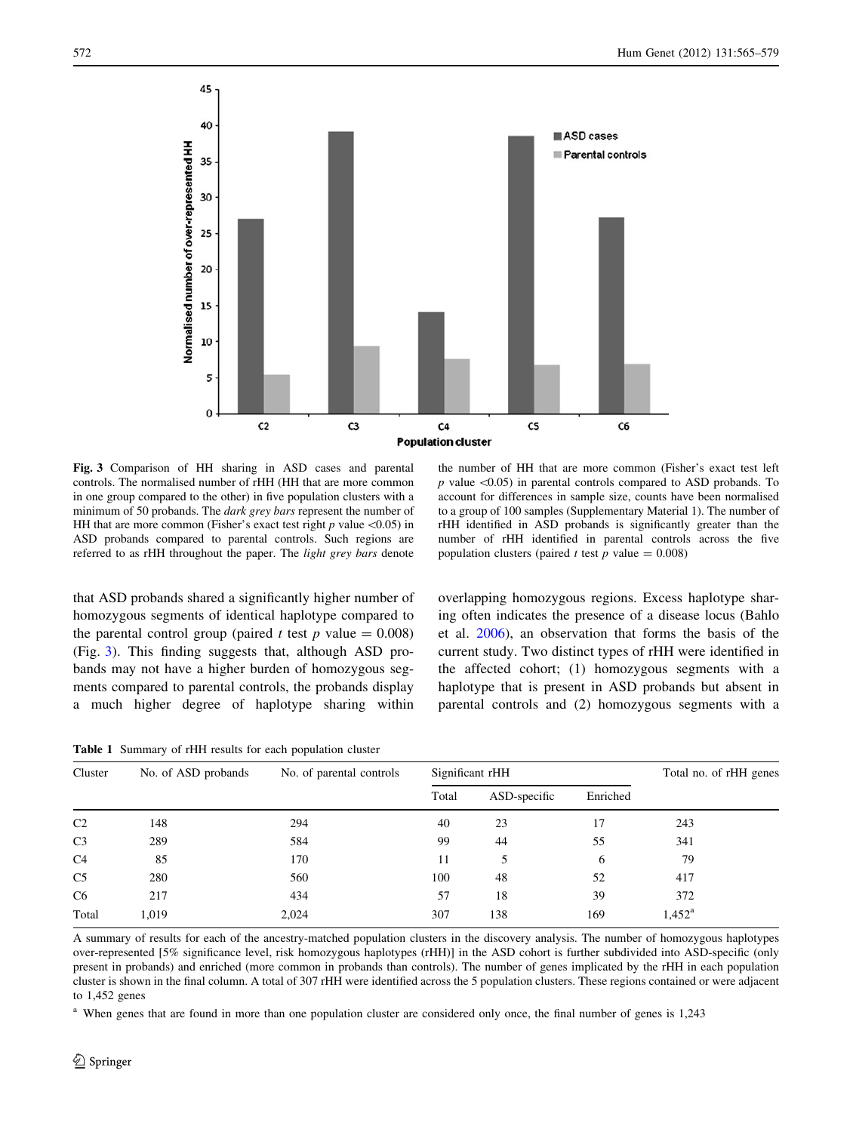<span id="page-7-0"></span>

Fig. 3 Comparison of HH sharing in ASD cases and parental controls. The normalised number of rHH (HH that are more common in one group compared to the other) in five population clusters with a minimum of 50 probands. The *dark grey bars* represent the number of HH that are more common (Fisher's exact test right p value  $\leq 0.05$ ) in ASD probands compared to parental controls. Such regions are referred to as rHH throughout the paper. The light grey bars denote

the number of HH that are more common (Fisher's exact test left  $p$  value  $\leq 0.05$ ) in parental controls compared to ASD probands. To account for differences in sample size, counts have been normalised to a group of 100 samples (Supplementary Material 1). The number of rHH identified in ASD probands is significantly greater than the number of rHH identified in parental controls across the five population clusters (paired t test p value =  $0.008$ )

that ASD probands shared a significantly higher number of homozygous segments of identical haplotype compared to the parental control group (paired t test p value  $= 0.008$ ) (Fig. 3). This finding suggests that, although ASD probands may not have a higher burden of homozygous segments compared to parental controls, the probands display a much higher degree of haplotype sharing within

Table 1 Summary of rHH results for each population cluster

overlapping homozygous regions. Excess haplotype sharing often indicates the presence of a disease locus (Bahlo et al. [2006\)](#page-13-0), an observation that forms the basis of the current study. Two distinct types of rHH were identified in the affected cohort; (1) homozygous segments with a haplotype that is present in ASD probands but absent in parental controls and (2) homozygous segments with a

| Cluster        | No. of ASD probands | No. of parental controls | Significant rHH |              |          | Total no. of rHH genes |
|----------------|---------------------|--------------------------|-----------------|--------------|----------|------------------------|
|                |                     |                          | Total           | ASD-specific | Enriched |                        |
| C <sub>2</sub> | 148                 | 294                      | 40              | 23           | 17       | 243                    |
| C <sub>3</sub> | 289                 | 584                      | 99              | 44           | 55       | 341                    |
| C <sub>4</sub> | 85                  | 170                      | 11              | 5            | 6        | 79                     |
| C <sub>5</sub> | 280                 | 560                      | 100             | 48           | 52       | 417                    |
| C <sub>6</sub> | 217                 | 434                      | 57              | 18           | 39       | 372                    |
| Total          | 1,019               | 2,024                    | 307             | 138          | 169      | $1.452^{\rm a}$        |

A summary of results for each of the ancestry-matched population clusters in the discovery analysis. The number of homozygous haplotypes over-represented [5% significance level, risk homozygous haplotypes (rHH)] in the ASD cohort is further subdivided into ASD-specific (only present in probands) and enriched (more common in probands than controls). The number of genes implicated by the rHH in each population cluster is shown in the final column. A total of 307 rHH were identified across the 5 population clusters. These regions contained or were adjacent to 1,452 genes

<sup>a</sup> When genes that are found in more than one population cluster are considered only once, the final number of genes is 1,243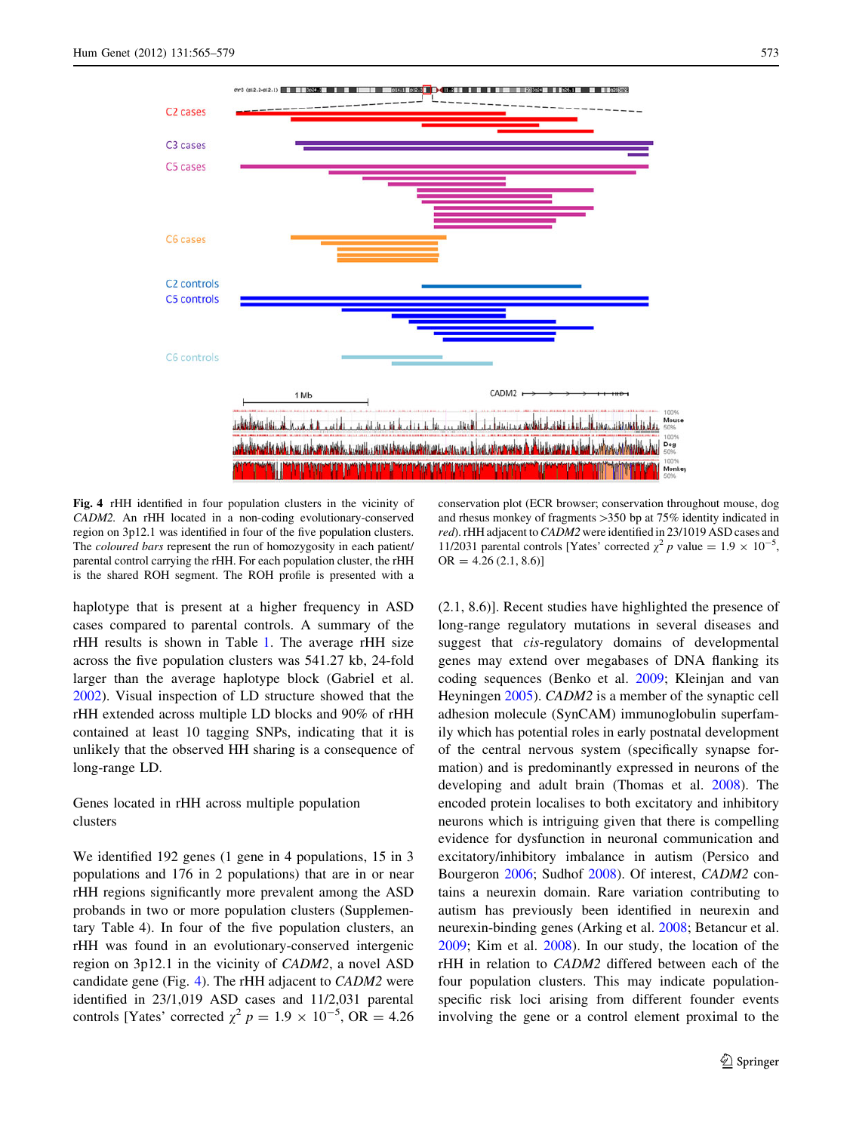

Fig. 4 rHH identified in four population clusters in the vicinity of CADM2. An rHH located in a non-coding evolutionary-conserved region on 3p12.1 was identified in four of the five population clusters. The coloured bars represent the run of homozygosity in each patient/ parental control carrying the rHH. For each population cluster, the rHH is the shared ROH segment. The ROH profile is presented with a

haplotype that is present at a higher frequency in ASD cases compared to parental controls. A summary of the rHH results is shown in Table [1.](#page-7-0) The average rHH size across the five population clusters was 541.27 kb, 24-fold larger than the average haplotype block (Gabriel et al. [2002\)](#page-13-0). Visual inspection of LD structure showed that the rHH extended across multiple LD blocks and 90% of rHH contained at least 10 tagging SNPs, indicating that it is unlikely that the observed HH sharing is a consequence of long-range LD.

Genes located in rHH across multiple population clusters

We identified 192 genes (1 gene in 4 populations, 15 in 3 populations and 176 in 2 populations) that are in or near rHH regions significantly more prevalent among the ASD probands in two or more population clusters (Supplementary Table 4). In four of the five population clusters, an rHH was found in an evolutionary-conserved intergenic region on 3p12.1 in the vicinity of CADM2, a novel ASD candidate gene (Fig. 4). The rHH adjacent to CADM2 were identified in 23/1,019 ASD cases and 11/2,031 parental controls [Yates' corrected  $\chi^2 p = 1.9 \times 10^{-5}$ , OR = 4.26

conservation plot (ECR browser; conservation throughout mouse, dog and rhesus monkey of fragments  $>350$  bp at 75% identity indicated in red). rHH adjacent to CADM2 were identified in 23/1019 ASD cases and 11/2031 parental controls [Yates' corrected  $\chi^2 p$  value = 1.9  $\times$  10<sup>-5</sup>,  $OR = 4.26 (2.1, 8.6)$ 

(2.1, 8.6)]. Recent studies have highlighted the presence of long-range regulatory mutations in several diseases and suggest that cis-regulatory domains of developmental genes may extend over megabases of DNA flanking its coding sequences (Benko et al. [2009;](#page-13-0) Kleinjan and van Heyningen [2005\)](#page-13-0). CADM2 is a member of the synaptic cell adhesion molecule (SynCAM) immunoglobulin superfamily which has potential roles in early postnatal development of the central nervous system (specifically synapse formation) and is predominantly expressed in neurons of the developing and adult brain (Thomas et al. [2008](#page-14-0)). The encoded protein localises to both excitatory and inhibitory neurons which is intriguing given that there is compelling evidence for dysfunction in neuronal communication and excitatory/inhibitory imbalance in autism (Persico and Bourgeron [2006](#page-14-0); Sudhof [2008\)](#page-14-0). Of interest, CADM2 contains a neurexin domain. Rare variation contributing to autism has previously been identified in neurexin and neurexin-binding genes (Arking et al. [2008](#page-13-0); Betancur et al. [2009](#page-13-0); Kim et al. [2008\)](#page-13-0). In our study, the location of the rHH in relation to CADM2 differed between each of the four population clusters. This may indicate populationspecific risk loci arising from different founder events involving the gene or a control element proximal to the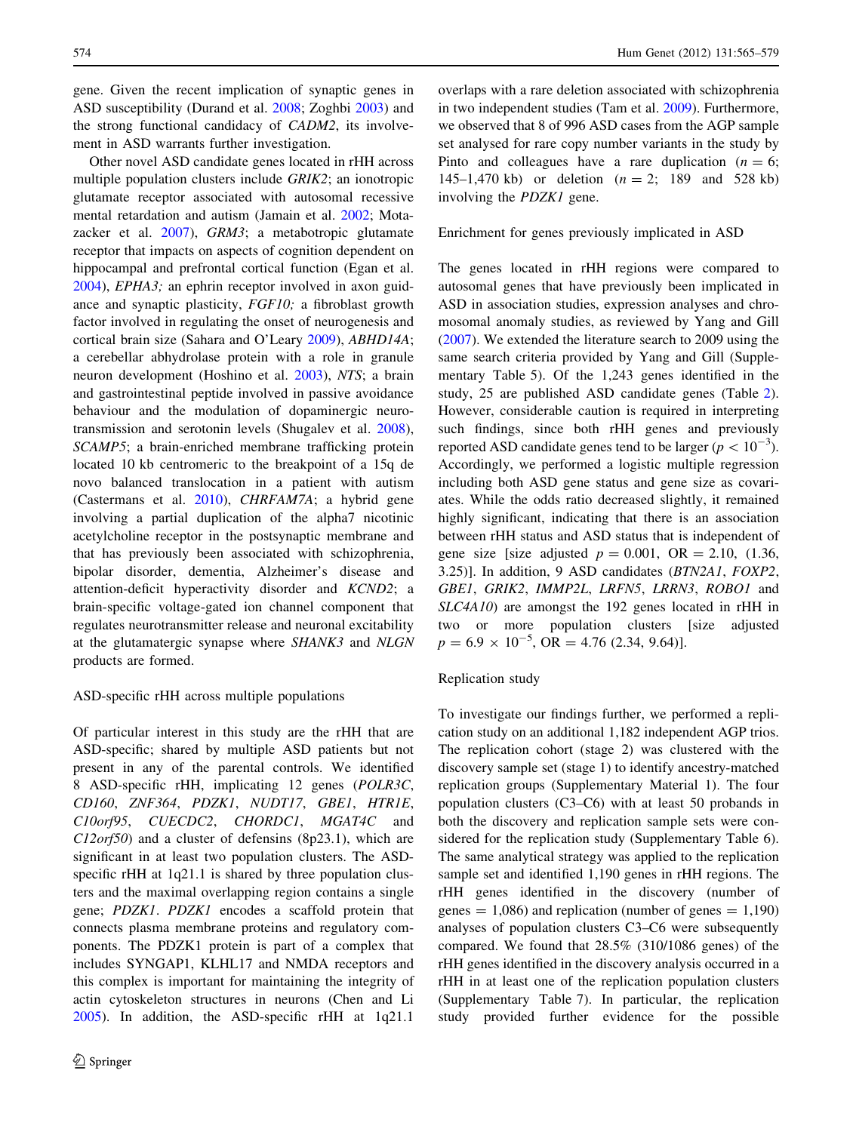gene. Given the recent implication of synaptic genes in ASD susceptibility (Durand et al. [2008](#page-13-0); Zoghbi [2003](#page-14-0)) and the strong functional candidacy of CADM2, its involvement in ASD warrants further investigation.

Other novel ASD candidate genes located in rHH across multiple population clusters include GRIK2; an ionotropic glutamate receptor associated with autosomal recessive mental retardation and autism (Jamain et al. [2002](#page-13-0); Motazacker et al. [2007](#page-14-0)), GRM3; a metabotropic glutamate receptor that impacts on aspects of cognition dependent on hippocampal and prefrontal cortical function (Egan et al. [2004\)](#page-13-0), EPHA3; an ephrin receptor involved in axon guidance and synaptic plasticity, FGF10; a fibroblast growth factor involved in regulating the onset of neurogenesis and cortical brain size (Sahara and O'Leary [2009\)](#page-14-0), ABHD14A; a cerebellar abhydrolase protein with a role in granule neuron development (Hoshino et al. [2003\)](#page-13-0), NTS; a brain and gastrointestinal peptide involved in passive avoidance behaviour and the modulation of dopaminergic neurotransmission and serotonin levels (Shugalev et al. [2008](#page-14-0)), SCAMP5; a brain-enriched membrane trafficking protein located 10 kb centromeric to the breakpoint of a 15q de novo balanced translocation in a patient with autism (Castermans et al. [2010\)](#page-13-0), CHRFAM7A; a hybrid gene involving a partial duplication of the alpha7 nicotinic acetylcholine receptor in the postsynaptic membrane and that has previously been associated with schizophrenia, bipolar disorder, dementia, Alzheimer's disease and attention-deficit hyperactivity disorder and KCND2; a brain-specific voltage-gated ion channel component that regulates neurotransmitter release and neuronal excitability at the glutamatergic synapse where SHANK3 and NLGN products are formed.

## ASD-specific rHH across multiple populations

Of particular interest in this study are the rHH that are ASD-specific; shared by multiple ASD patients but not present in any of the parental controls. We identified 8 ASD-specific rHH, implicating 12 genes (POLR3C, CD160, ZNF364, PDZK1, NUDT17, GBE1, HTR1E, C10orf95, CUECDC2, CHORDC1, MGAT4C and C12orf50) and a cluster of defensins (8p23.1), which are significant in at least two population clusters. The ASDspecific rHH at 1q21.1 is shared by three population clusters and the maximal overlapping region contains a single gene; PDZK1. PDZK1 encodes a scaffold protein that connects plasma membrane proteins and regulatory components. The PDZK1 protein is part of a complex that includes SYNGAP1, KLHL17 and NMDA receptors and this complex is important for maintaining the integrity of actin cytoskeleton structures in neurons (Chen and Li [2005\)](#page-13-0). In addition, the ASD-specific rHH at 1q21.1

overlaps with a rare deletion associated with schizophrenia in two independent studies (Tam et al. [2009](#page-14-0)). Furthermore, we observed that 8 of 996 ASD cases from the AGP sample set analysed for rare copy number variants in the study by Pinto and colleagues have a rare duplication ( $n = 6$ ; 145–1,470 kb) or deletion  $(n = 2; 189$  and 528 kb) involving the PDZK1 gene.

# Enrichment for genes previously implicated in ASD

The genes located in rHH regions were compared to autosomal genes that have previously been implicated in ASD in association studies, expression analyses and chromosomal anomaly studies, as reviewed by Yang and Gill [\(2007](#page-14-0)). We extended the literature search to 2009 using the same search criteria provided by Yang and Gill (Supplementary Table 5). Of the 1,243 genes identified in the study, 25 are published ASD candidate genes (Table [2](#page-10-0)). However, considerable caution is required in interpreting such findings, since both rHH genes and previously reported ASD candidate genes tend to be larger ( $p < 10^{-3}$ ). Accordingly, we performed a logistic multiple regression including both ASD gene status and gene size as covariates. While the odds ratio decreased slightly, it remained highly significant, indicating that there is an association between rHH status and ASD status that is independent of gene size [size adjusted  $p = 0.001$ , OR = 2.10, (1.36, 3.25)]. In addition, 9 ASD candidates (BTN2A1, FOXP2, GBE1, GRIK2, IMMP2L, LRFN5, LRRN3, ROBO1 and SLC4A10) are amongst the 192 genes located in rHH in two or more population clusters [size adjusted  $p = 6.9 \times 10^{-5}$ , OR = 4.76 (2.34, 9.64)].

# Replication study

To investigate our findings further, we performed a replication study on an additional 1,182 independent AGP trios. The replication cohort (stage 2) was clustered with the discovery sample set (stage 1) to identify ancestry-matched replication groups (Supplementary Material 1). The four population clusters (C3–C6) with at least 50 probands in both the discovery and replication sample sets were considered for the replication study (Supplementary Table 6). The same analytical strategy was applied to the replication sample set and identified 1,190 genes in rHH regions. The rHH genes identified in the discovery (number of genes  $= 1,086$ ) and replication (number of genes  $= 1,190$ ) analyses of population clusters C3–C6 were subsequently compared. We found that 28.5% (310/1086 genes) of the rHH genes identified in the discovery analysis occurred in a rHH in at least one of the replication population clusters (Supplementary Table 7). In particular, the replication study provided further evidence for the possible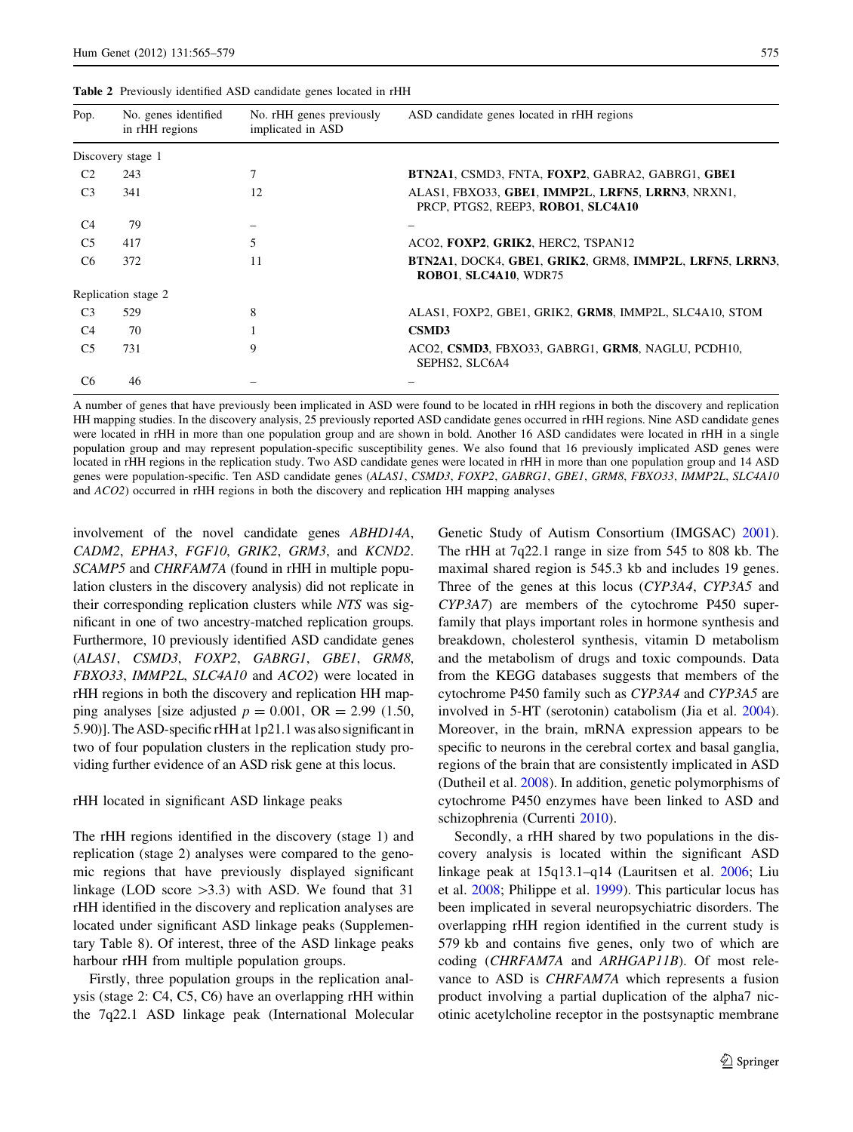| Pop.           | No. genes identified<br>in rHH regions | No. rHH genes previously<br>implicated in ASD | ASD candidate genes located in rHH regions                                              |
|----------------|----------------------------------------|-----------------------------------------------|-----------------------------------------------------------------------------------------|
|                | Discovery stage 1                      |                                               |                                                                                         |
| C <sub>2</sub> | 243                                    |                                               | BTN2A1, CSMD3, FNTA, FOXP2, GABRA2, GABRG1, GBE1                                        |
| C <sub>3</sub> | 341                                    | 12                                            | ALAS1, FBXO33, GBE1, IMMP2L, LRFN5, LRRN3, NRXN1,<br>PRCP, PTGS2, REEP3, ROBO1, SLC4A10 |
| C <sub>4</sub> | 79                                     |                                               |                                                                                         |
| C <sub>5</sub> | 417                                    | 5                                             | ACO2, FOXP2, GRIK2, HERC2, TSPAN12                                                      |
| C <sub>6</sub> | 372                                    | 11                                            | BTN2A1, DOCK4, GBE1, GRIK2, GRM8, IMMP2L, LRFN5, LRRN3,<br>ROBO1, SLC4A10, WDR75        |
|                | Replication stage 2                    |                                               |                                                                                         |
| C <sub>3</sub> | 529                                    | 8                                             | ALAS1, FOXP2, GBE1, GRIK2, GRM8, IMMP2L, SLC4A10, STOM                                  |
| C <sub>4</sub> | 70                                     |                                               | <b>CSMD3</b>                                                                            |
| C <sub>5</sub> | 731                                    | 9                                             | ACO2, CSMD3, FBXO33, GABRG1, GRM8, NAGLU, PCDH10,<br>SEPHS2, SLC6A4                     |
| C <sub>6</sub> | 46                                     |                                               |                                                                                         |

<span id="page-10-0"></span>Table 2 Previously identified ASD candidate genes located in rHH

A number of genes that have previously been implicated in ASD were found to be located in rHH regions in both the discovery and replication HH mapping studies. In the discovery analysis, 25 previously reported ASD candidate genes occurred in rHH regions. Nine ASD candidate genes were located in rHH in more than one population group and are shown in bold. Another 16 ASD candidates were located in rHH in a single population group and may represent population-specific susceptibility genes. We also found that 16 previously implicated ASD genes were located in rHH regions in the replication study. Two ASD candidate genes were located in rHH in more than one population group and 14 ASD genes were population-specific. Ten ASD candidate genes (ALAS1, CSMD3, FOXP2, GABRG1, GBE1, GRM8, FBXO33, IMMP2L, SLC4A10 and ACO2) occurred in rHH regions in both the discovery and replication HH mapping analyses

involvement of the novel candidate genes ABHD14A, CADM2, EPHA3, FGF10, GRIK2, GRM3, and KCND2. SCAMP5 and CHRFAM7A (found in rHH in multiple population clusters in the discovery analysis) did not replicate in their corresponding replication clusters while NTS was significant in one of two ancestry-matched replication groups. Furthermore, 10 previously identified ASD candidate genes (ALAS1, CSMD3, FOXP2, GABRG1, GBE1, GRM8, FBXO33, IMMP2L, SLC4A10 and ACO2) were located in rHH regions in both the discovery and replication HH mapping analyses [size adjusted  $p = 0.001$ , OR = 2.99 (1.50, 5.90)]. The ASD-specific rHH at 1p21.1 was also significant in two of four population clusters in the replication study providing further evidence of an ASD risk gene at this locus.

#### rHH located in significant ASD linkage peaks

The rHH regions identified in the discovery (stage 1) and replication (stage 2) analyses were compared to the genomic regions that have previously displayed significant linkage (LOD score  $>3.3$ ) with ASD. We found that 31 rHH identified in the discovery and replication analyses are located under significant ASD linkage peaks (Supplementary Table 8). Of interest, three of the ASD linkage peaks harbour rHH from multiple population groups.

Firstly, three population groups in the replication analysis (stage 2: C4, C5, C6) have an overlapping rHH within the 7q22.1 ASD linkage peak (International Molecular

Genetic Study of Autism Consortium (IMGSAC) [2001](#page-13-0)). The rHH at 7q22.1 range in size from 545 to 808 kb. The maximal shared region is 545.3 kb and includes 19 genes. Three of the genes at this locus (CYP3A4, CYP3A5 and CYP3A7) are members of the cytochrome P450 superfamily that plays important roles in hormone synthesis and breakdown, cholesterol synthesis, vitamin D metabolism and the metabolism of drugs and toxic compounds. Data from the KEGG databases suggests that members of the cytochrome P450 family such as CYP3A4 and CYP3A5 are involved in 5-HT (serotonin) catabolism (Jia et al. [2004](#page-13-0)). Moreover, in the brain, mRNA expression appears to be specific to neurons in the cerebral cortex and basal ganglia, regions of the brain that are consistently implicated in ASD (Dutheil et al. [2008\)](#page-13-0). In addition, genetic polymorphisms of cytochrome P450 enzymes have been linked to ASD and schizophrenia (Currenti [2010](#page-13-0)).

Secondly, a rHH shared by two populations in the discovery analysis is located within the significant ASD linkage peak at 15q13.1–q14 (Lauritsen et al. [2006](#page-14-0); Liu et al. [2008](#page-14-0); Philippe et al. [1999](#page-14-0)). This particular locus has been implicated in several neuropsychiatric disorders. The overlapping rHH region identified in the current study is 579 kb and contains five genes, only two of which are coding (CHRFAM7A and ARHGAP11B). Of most relevance to ASD is CHRFAM7A which represents a fusion product involving a partial duplication of the alpha7 nicotinic acetylcholine receptor in the postsynaptic membrane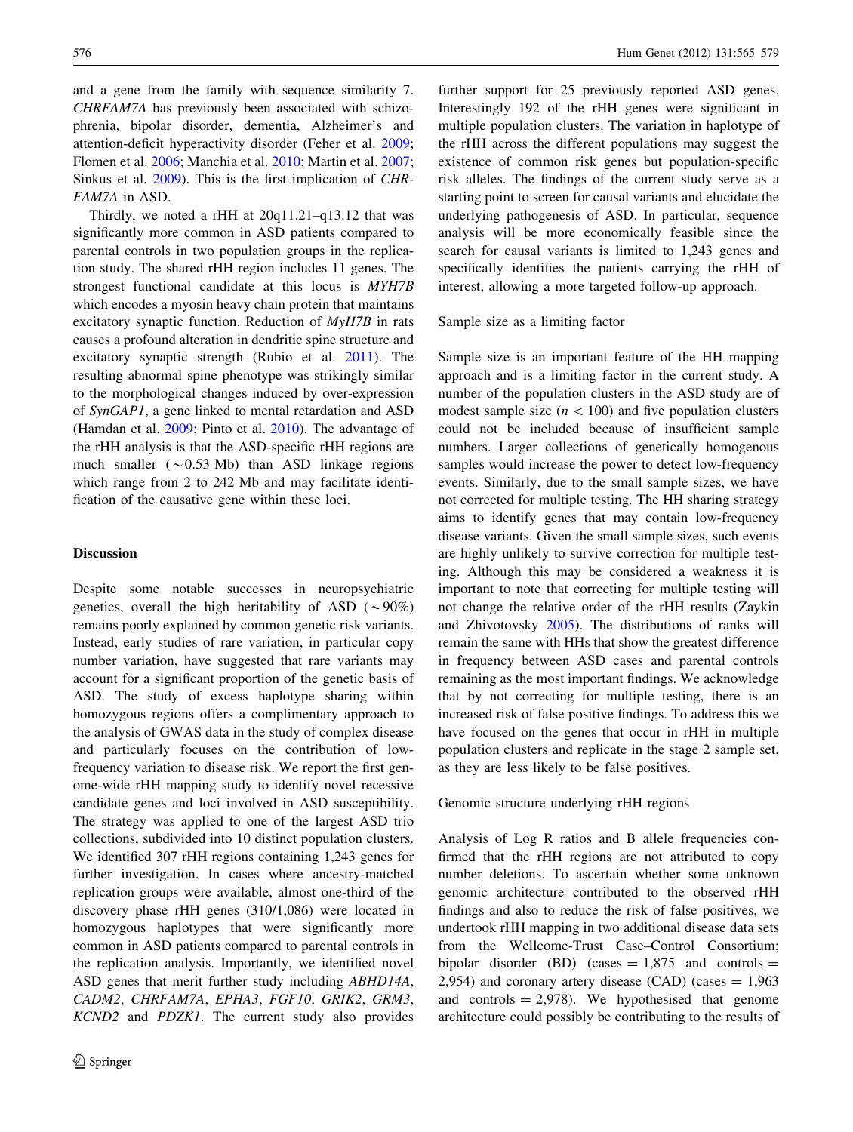and a gene from the family with sequence similarity 7. CHRFAM7A has previously been associated with schizophrenia, bipolar disorder, dementia, Alzheimer's and attention-deficit hyperactivity disorder (Feher et al. [2009](#page-13-0); Flomen et al. [2006;](#page-13-0) Manchia et al. [2010;](#page-14-0) Martin et al. [2007](#page-14-0); Sinkus et al. [2009\)](#page-14-0). This is the first implication of CHR-FAM7A in ASD.

Thirdly, we noted a rHH at 20q11.21–q13.12 that was significantly more common in ASD patients compared to parental controls in two population groups in the replication study. The shared rHH region includes 11 genes. The strongest functional candidate at this locus is MYH7B which encodes a myosin heavy chain protein that maintains excitatory synaptic function. Reduction of MyH7B in rats causes a profound alteration in dendritic spine structure and excitatory synaptic strength (Rubio et al. [2011](#page-14-0)). The resulting abnormal spine phenotype was strikingly similar to the morphological changes induced by over-expression of SynGAP1, a gene linked to mental retardation and ASD (Hamdan et al. [2009](#page-13-0); Pinto et al. [2010\)](#page-14-0). The advantage of the rHH analysis is that the ASD-specific rHH regions are much smaller  $({\sim}0.53 \text{ Mb})$  than ASD linkage regions which range from 2 to 242 Mb and may facilitate identification of the causative gene within these loci.

# Discussion

Despite some notable successes in neuropsychiatric genetics, overall the high heritability of ASD ( $\sim$ 90%) remains poorly explained by common genetic risk variants. Instead, early studies of rare variation, in particular copy number variation, have suggested that rare variants may account for a significant proportion of the genetic basis of ASD. The study of excess haplotype sharing within homozygous regions offers a complimentary approach to the analysis of GWAS data in the study of complex disease and particularly focuses on the contribution of lowfrequency variation to disease risk. We report the first genome-wide rHH mapping study to identify novel recessive candidate genes and loci involved in ASD susceptibility. The strategy was applied to one of the largest ASD trio collections, subdivided into 10 distinct population clusters. We identified 307 rHH regions containing 1,243 genes for further investigation. In cases where ancestry-matched replication groups were available, almost one-third of the discovery phase rHH genes (310/1,086) were located in homozygous haplotypes that were significantly more common in ASD patients compared to parental controls in the replication analysis. Importantly, we identified novel ASD genes that merit further study including ABHD14A, CADM2, CHRFAM7A, EPHA3, FGF10, GRIK2, GRM3, KCND2 and PDZK1. The current study also provides further support for 25 previously reported ASD genes. Interestingly 192 of the rHH genes were significant in multiple population clusters. The variation in haplotype of the rHH across the different populations may suggest the existence of common risk genes but population-specific risk alleles. The findings of the current study serve as a starting point to screen for causal variants and elucidate the underlying pathogenesis of ASD. In particular, sequence analysis will be more economically feasible since the search for causal variants is limited to 1,243 genes and specifically identifies the patients carrying the rHH of interest, allowing a more targeted follow-up approach.

Sample size as a limiting factor

Sample size is an important feature of the HH mapping approach and is a limiting factor in the current study. A number of the population clusters in the ASD study are of modest sample size  $(n < 100)$  and five population clusters could not be included because of insufficient sample numbers. Larger collections of genetically homogenous samples would increase the power to detect low-frequency events. Similarly, due to the small sample sizes, we have not corrected for multiple testing. The HH sharing strategy aims to identify genes that may contain low-frequency disease variants. Given the small sample sizes, such events are highly unlikely to survive correction for multiple testing. Although this may be considered a weakness it is important to note that correcting for multiple testing will not change the relative order of the rHH results (Zaykin and Zhivotovsky [2005](#page-14-0)). The distributions of ranks will remain the same with HHs that show the greatest difference in frequency between ASD cases and parental controls remaining as the most important findings. We acknowledge that by not correcting for multiple testing, there is an increased risk of false positive findings. To address this we have focused on the genes that occur in rHH in multiple population clusters and replicate in the stage 2 sample set, as they are less likely to be false positives.

Genomic structure underlying rHH regions

Analysis of Log R ratios and B allele frequencies confirmed that the rHH regions are not attributed to copy number deletions. To ascertain whether some unknown genomic architecture contributed to the observed rHH findings and also to reduce the risk of false positives, we undertook rHH mapping in two additional disease data sets from the Wellcome-Trust Case–Control Consortium; bipolar disorder (BD) (cases  $= 1,875$  and controls  $=$ 2,954) and coronary artery disease  $(CAD)$  (cases = 1,963) and controls  $= 2.978$ . We hypothesised that genome architecture could possibly be contributing to the results of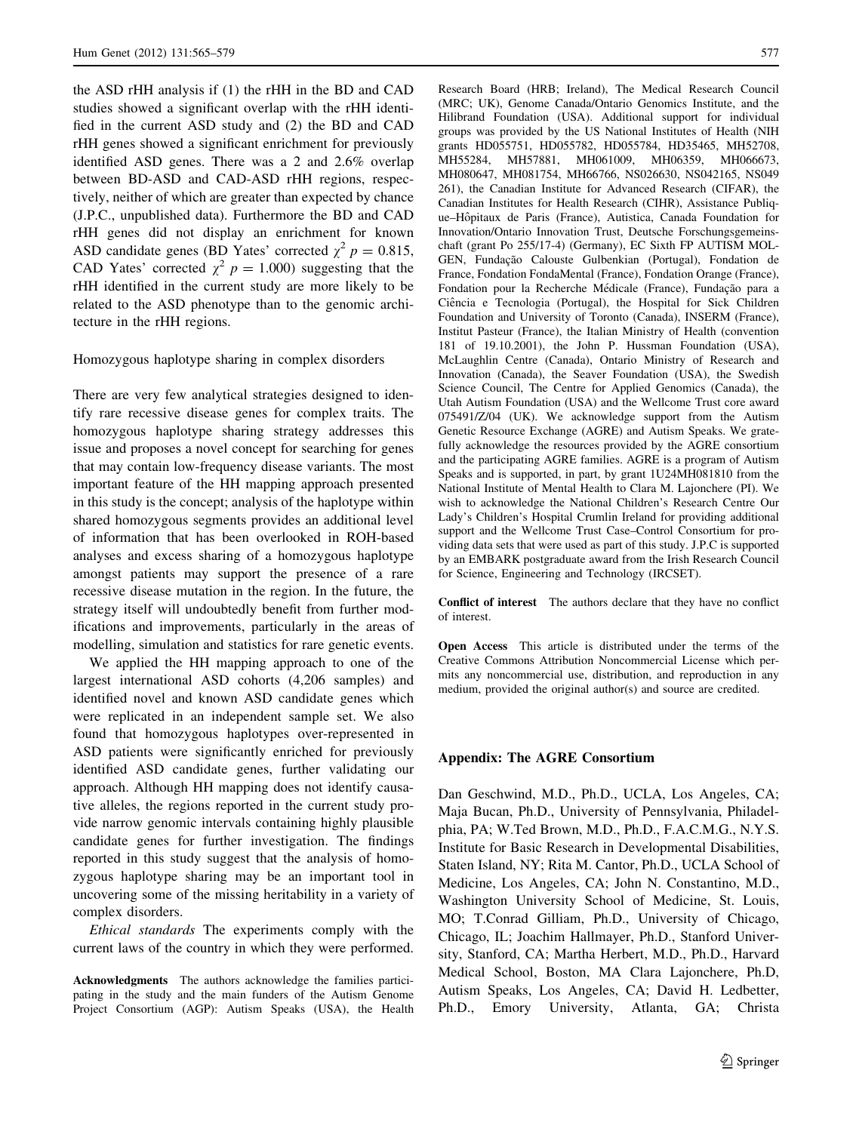the ASD rHH analysis if (1) the rHH in the BD and CAD studies showed a significant overlap with the rHH identified in the current ASD study and (2) the BD and CAD rHH genes showed a significant enrichment for previously identified ASD genes. There was a 2 and 2.6% overlap between BD-ASD and CAD-ASD rHH regions, respectively, neither of which are greater than expected by chance (J.P.C., unpublished data). Furthermore the BD and CAD rHH genes did not display an enrichment for known ASD candidate genes (BD Yates' corrected  $\chi^2$  p = 0.815, CAD Yates' corrected  $\chi^2$  p = 1.000) suggesting that the rHH identified in the current study are more likely to be related to the ASD phenotype than to the genomic architecture in the rHH regions.

# Homozygous haplotype sharing in complex disorders

There are very few analytical strategies designed to identify rare recessive disease genes for complex traits. The homozygous haplotype sharing strategy addresses this issue and proposes a novel concept for searching for genes that may contain low-frequency disease variants. The most important feature of the HH mapping approach presented in this study is the concept; analysis of the haplotype within shared homozygous segments provides an additional level of information that has been overlooked in ROH-based analyses and excess sharing of a homozygous haplotype amongst patients may support the presence of a rare recessive disease mutation in the region. In the future, the strategy itself will undoubtedly benefit from further modifications and improvements, particularly in the areas of modelling, simulation and statistics for rare genetic events.

We applied the HH mapping approach to one of the largest international ASD cohorts (4,206 samples) and identified novel and known ASD candidate genes which were replicated in an independent sample set. We also found that homozygous haplotypes over-represented in ASD patients were significantly enriched for previously identified ASD candidate genes, further validating our approach. Although HH mapping does not identify causative alleles, the regions reported in the current study provide narrow genomic intervals containing highly plausible candidate genes for further investigation. The findings reported in this study suggest that the analysis of homozygous haplotype sharing may be an important tool in uncovering some of the missing heritability in a variety of complex disorders.

Ethical standards The experiments comply with the current laws of the country in which they were performed.

Acknowledgments The authors acknowledge the families participating in the study and the main funders of the Autism Genome Project Consortium (AGP): Autism Speaks (USA), the Health

Research Board (HRB; Ireland), The Medical Research Council (MRC; UK), Genome Canada/Ontario Genomics Institute, and the Hilibrand Foundation (USA). Additional support for individual groups was provided by the US National Institutes of Health (NIH grants HD055751, HD055782, HD055784, HD35465, MH52708, MH55284, MH57881, MH061009, MH06359, MH066673, MH080647, MH081754, MH66766, NS026630, NS042165, NS049 261), the Canadian Institute for Advanced Research (CIFAR), the Canadian Institutes for Health Research (CIHR), Assistance Publique–Hôpitaux de Paris (France), Autistica, Canada Foundation for Innovation/Ontario Innovation Trust, Deutsche Forschungsgemeinschaft (grant Po 255/17-4) (Germany), EC Sixth FP AUTISM MOL-GEN, Fundação Calouste Gulbenkian (Portugal), Fondation de France, Fondation FondaMental (France), Fondation Orange (France), Fondation pour la Recherche Médicale (France), Fundação para a Ciência e Tecnologia (Portugal), the Hospital for Sick Children Foundation and University of Toronto (Canada), INSERM (France), Institut Pasteur (France), the Italian Ministry of Health (convention 181 of 19.10.2001), the John P. Hussman Foundation (USA), McLaughlin Centre (Canada), Ontario Ministry of Research and Innovation (Canada), the Seaver Foundation (USA), the Swedish Science Council, The Centre for Applied Genomics (Canada), the Utah Autism Foundation (USA) and the Wellcome Trust core award 075491/Z/04 (UK). We acknowledge support from the Autism Genetic Resource Exchange (AGRE) and Autism Speaks. We gratefully acknowledge the resources provided by the AGRE consortium and the participating AGRE families. AGRE is a program of Autism Speaks and is supported, in part, by grant 1U24MH081810 from the National Institute of Mental Health to Clara M. Lajonchere (PI). We wish to acknowledge the National Children's Research Centre Our Lady's Children's Hospital Crumlin Ireland for providing additional support and the Wellcome Trust Case–Control Consortium for providing data sets that were used as part of this study. J.P.C is supported by an EMBARK postgraduate award from the Irish Research Council for Science, Engineering and Technology (IRCSET).

Conflict of interest The authors declare that they have no conflict of interest.

Open Access This article is distributed under the terms of the Creative Commons Attribution Noncommercial License which permits any noncommercial use, distribution, and reproduction in any medium, provided the original author(s) and source are credited.

# Appendix: The AGRE Consortium

Dan Geschwind, M.D., Ph.D., UCLA, Los Angeles, CA; Maja Bucan, Ph.D., University of Pennsylvania, Philadelphia, PA; W.Ted Brown, M.D., Ph.D., F.A.C.M.G., N.Y.S. Institute for Basic Research in Developmental Disabilities, Staten Island, NY; Rita M. Cantor, Ph.D., UCLA School of Medicine, Los Angeles, CA; John N. Constantino, M.D., Washington University School of Medicine, St. Louis, MO; T.Conrad Gilliam, Ph.D., University of Chicago, Chicago, IL; Joachim Hallmayer, Ph.D., Stanford University, Stanford, CA; Martha Herbert, M.D., Ph.D., Harvard Medical School, Boston, MA Clara Lajonchere, Ph.D, Autism Speaks, Los Angeles, CA; David H. Ledbetter, Ph.D., Emory University, Atlanta, GA; Christa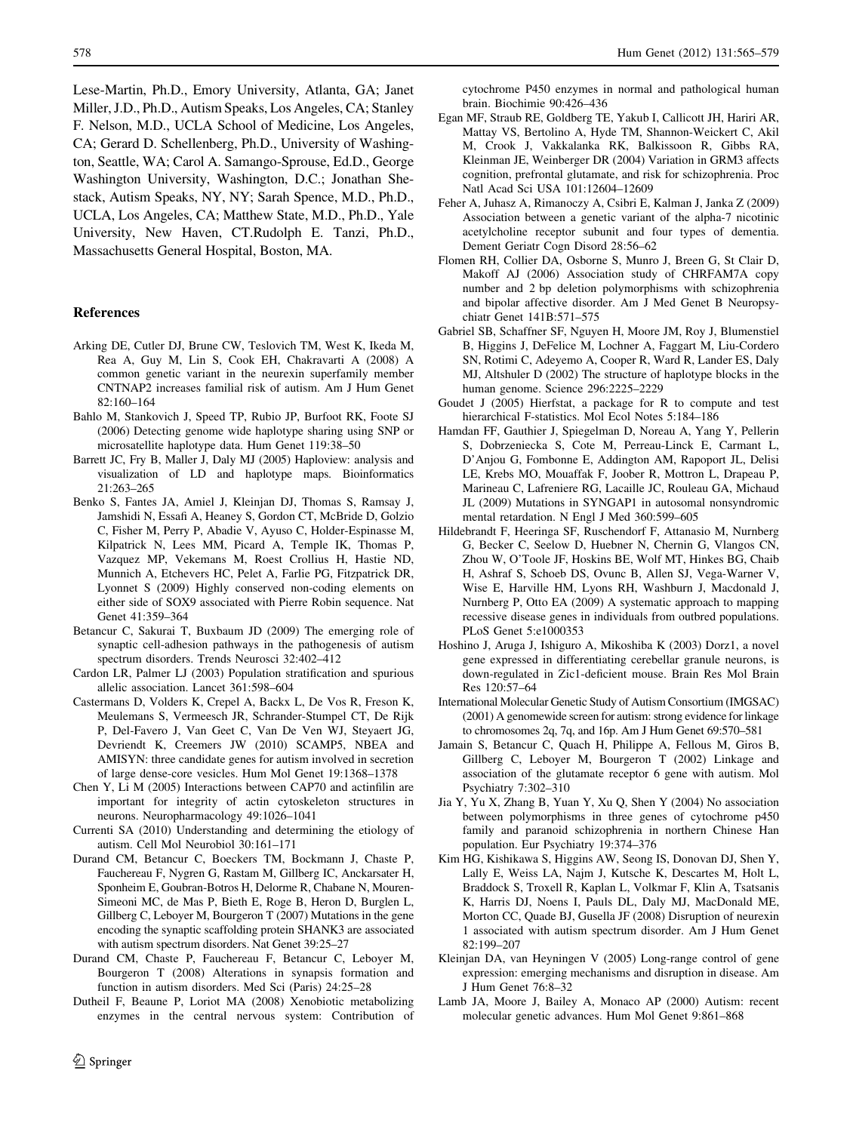<span id="page-13-0"></span>Lese-Martin, Ph.D., Emory University, Atlanta, GA; Janet Miller, J.D., Ph.D., Autism Speaks, Los Angeles, CA; Stanley F. Nelson, M.D., UCLA School of Medicine, Los Angeles, CA; Gerard D. Schellenberg, Ph.D., University of Washington, Seattle, WA; Carol A. Samango-Sprouse, Ed.D., George Washington University, Washington, D.C.; Jonathan Shestack, Autism Speaks, NY, NY; Sarah Spence, M.D., Ph.D., UCLA, Los Angeles, CA; Matthew State, M.D., Ph.D., Yale University, New Haven, CT.Rudolph E. Tanzi, Ph.D., Massachusetts General Hospital, Boston, MA.

# References

- Arking DE, Cutler DJ, Brune CW, Teslovich TM, West K, Ikeda M, Rea A, Guy M, Lin S, Cook EH, Chakravarti A (2008) A common genetic variant in the neurexin superfamily member CNTNAP2 increases familial risk of autism. Am J Hum Genet 82:160–164
- Bahlo M, Stankovich J, Speed TP, Rubio JP, Burfoot RK, Foote SJ (2006) Detecting genome wide haplotype sharing using SNP or microsatellite haplotype data. Hum Genet 119:38–50
- Barrett JC, Fry B, Maller J, Daly MJ (2005) Haploview: analysis and visualization of LD and haplotype maps. Bioinformatics 21:263–265
- Benko S, Fantes JA, Amiel J, Kleinjan DJ, Thomas S, Ramsay J, Jamshidi N, Essafi A, Heaney S, Gordon CT, McBride D, Golzio C, Fisher M, Perry P, Abadie V, Ayuso C, Holder-Espinasse M, Kilpatrick N, Lees MM, Picard A, Temple IK, Thomas P, Vazquez MP, Vekemans M, Roest Crollius H, Hastie ND, Munnich A, Etchevers HC, Pelet A, Farlie PG, Fitzpatrick DR, Lyonnet S (2009) Highly conserved non-coding elements on either side of SOX9 associated with Pierre Robin sequence. Nat Genet 41:359–364
- Betancur C, Sakurai T, Buxbaum JD (2009) The emerging role of synaptic cell-adhesion pathways in the pathogenesis of autism spectrum disorders. Trends Neurosci 32:402–412
- Cardon LR, Palmer LJ (2003) Population stratification and spurious allelic association. Lancet 361:598–604
- Castermans D, Volders K, Crepel A, Backx L, De Vos R, Freson K, Meulemans S, Vermeesch JR, Schrander-Stumpel CT, De Rijk P, Del-Favero J, Van Geet C, Van De Ven WJ, Steyaert JG, Devriendt K, Creemers JW (2010) SCAMP5, NBEA and AMISYN: three candidate genes for autism involved in secretion of large dense-core vesicles. Hum Mol Genet 19:1368–1378
- Chen Y, Li M (2005) Interactions between CAP70 and actinfilin are important for integrity of actin cytoskeleton structures in neurons. Neuropharmacology 49:1026–1041
- Currenti SA (2010) Understanding and determining the etiology of autism. Cell Mol Neurobiol 30:161–171
- Durand CM, Betancur C, Boeckers TM, Bockmann J, Chaste P, Fauchereau F, Nygren G, Rastam M, Gillberg IC, Anckarsater H, Sponheim E, Goubran-Botros H, Delorme R, Chabane N, Mouren-Simeoni MC, de Mas P, Bieth E, Roge B, Heron D, Burglen L, Gillberg C, Leboyer M, Bourgeron T (2007) Mutations in the gene encoding the synaptic scaffolding protein SHANK3 are associated with autism spectrum disorders. Nat Genet 39:25–27
- Durand CM, Chaste P, Fauchereau F, Betancur C, Leboyer M, Bourgeron T (2008) Alterations in synapsis formation and function in autism disorders. Med Sci (Paris) 24:25–28
- Dutheil F, Beaune P, Loriot MA (2008) Xenobiotic metabolizing enzymes in the central nervous system: Contribution of

cytochrome P450 enzymes in normal and pathological human brain. Biochimie 90:426–436

- Egan MF, Straub RE, Goldberg TE, Yakub I, Callicott JH, Hariri AR, Mattay VS, Bertolino A, Hyde TM, Shannon-Weickert C, Akil M, Crook J, Vakkalanka RK, Balkissoon R, Gibbs RA, Kleinman JE, Weinberger DR (2004) Variation in GRM3 affects cognition, prefrontal glutamate, and risk for schizophrenia. Proc Natl Acad Sci USA 101:12604–12609
- Feher A, Juhasz A, Rimanoczy A, Csibri E, Kalman J, Janka Z (2009) Association between a genetic variant of the alpha-7 nicotinic acetylcholine receptor subunit and four types of dementia. Dement Geriatr Cogn Disord 28:56–62
- Flomen RH, Collier DA, Osborne S, Munro J, Breen G, St Clair D, Makoff AJ (2006) Association study of CHRFAM7A copy number and 2 bp deletion polymorphisms with schizophrenia and bipolar affective disorder. Am J Med Genet B Neuropsychiatr Genet 141B:571–575
- Gabriel SB, Schaffner SF, Nguyen H, Moore JM, Roy J, Blumenstiel B, Higgins J, DeFelice M, Lochner A, Faggart M, Liu-Cordero SN, Rotimi C, Adeyemo A, Cooper R, Ward R, Lander ES, Daly MJ, Altshuler D (2002) The structure of haplotype blocks in the human genome. Science 296:2225–2229
- Goudet J (2005) Hierfstat, a package for R to compute and test hierarchical F-statistics. Mol Ecol Notes 5:184–186
- Hamdan FF, Gauthier J, Spiegelman D, Noreau A, Yang Y, Pellerin S, Dobrzeniecka S, Cote M, Perreau-Linck E, Carmant L, D'Anjou G, Fombonne E, Addington AM, Rapoport JL, Delisi LE, Krebs MO, Mouaffak F, Joober R, Mottron L, Drapeau P, Marineau C, Lafreniere RG, Lacaille JC, Rouleau GA, Michaud JL (2009) Mutations in SYNGAP1 in autosomal nonsyndromic mental retardation. N Engl J Med 360:599–605
- Hildebrandt F, Heeringa SF, Ruschendorf F, Attanasio M, Nurnberg G, Becker C, Seelow D, Huebner N, Chernin G, Vlangos CN, Zhou W, O'Toole JF, Hoskins BE, Wolf MT, Hinkes BG, Chaib H, Ashraf S, Schoeb DS, Ovunc B, Allen SJ, Vega-Warner V, Wise E, Harville HM, Lyons RH, Washburn J, Macdonald J, Nurnberg P, Otto EA (2009) A systematic approach to mapping recessive disease genes in individuals from outbred populations. PLoS Genet 5:e1000353
- Hoshino J, Aruga J, Ishiguro A, Mikoshiba K (2003) Dorz1, a novel gene expressed in differentiating cerebellar granule neurons, is down-regulated in Zic1-deficient mouse. Brain Res Mol Brain Res 120:57–64
- International Molecular Genetic Study of Autism Consortium (IMGSAC) (2001) A genomewide screen for autism: strong evidence for linkage to chromosomes 2q, 7q, and 16p. Am J Hum Genet 69:570–581
- Jamain S, Betancur C, Quach H, Philippe A, Fellous M, Giros B, Gillberg C, Leboyer M, Bourgeron T (2002) Linkage and association of the glutamate receptor 6 gene with autism. Mol Psychiatry 7:302–310
- Jia Y, Yu X, Zhang B, Yuan Y, Xu Q, Shen Y (2004) No association between polymorphisms in three genes of cytochrome p450 family and paranoid schizophrenia in northern Chinese Han population. Eur Psychiatry 19:374–376
- Kim HG, Kishikawa S, Higgins AW, Seong IS, Donovan DJ, Shen Y, Lally E, Weiss LA, Najm J, Kutsche K, Descartes M, Holt L, Braddock S, Troxell R, Kaplan L, Volkmar F, Klin A, Tsatsanis K, Harris DJ, Noens I, Pauls DL, Daly MJ, MacDonald ME, Morton CC, Quade BJ, Gusella JF (2008) Disruption of neurexin 1 associated with autism spectrum disorder. Am J Hum Genet 82:199–207
- Kleinjan DA, van Heyningen V (2005) Long-range control of gene expression: emerging mechanisms and disruption in disease. Am J Hum Genet 76:8–32
- Lamb JA, Moore J, Bailey A, Monaco AP (2000) Autism: recent molecular genetic advances. Hum Mol Genet 9:861–868